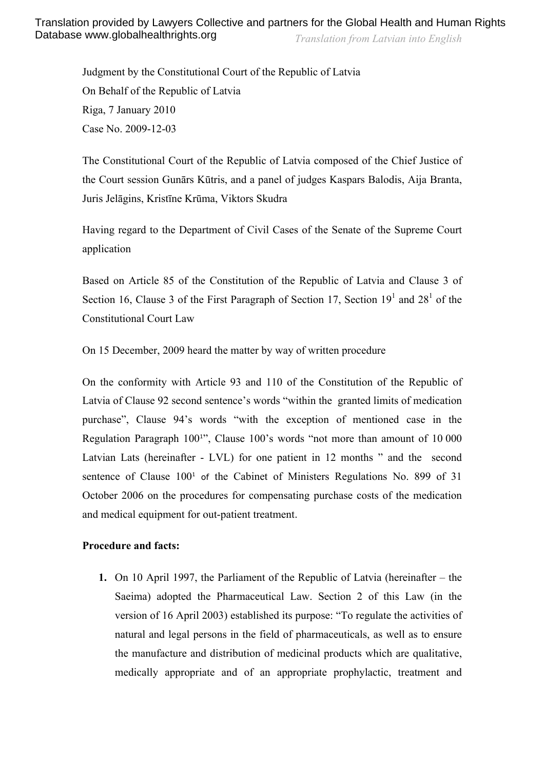Judgment by the Constitutional Court of the Republic of Latvia On Behalf of the Republic of Latvia Riga, 7 January 2010 Case No. 2009-12-03

The Constitutional Court of the Republic of Latvia composed of the Chief Justice of the Court session Gunārs Kūtris, and a panel of judges Kaspars Balodis, Aija Branta, Juris Jelāgins, Kristīne Krūma, Viktors Skudra

Having regard to the Department of Civil Cases of the Senate of the Supreme Court application

Based on Article 85 of the Constitution of the Republic of Latvia and Clause 3 of Section 16, Clause 3 of the First Paragraph of Section 17, Section  $19<sup>1</sup>$  and  $28<sup>1</sup>$  of the Constitutional Court Law

On 15 December, 2009 heard the matter by way of written procedure

On the conformity with Article 93 and 110 of the Constitution of the Republic of Latvia of Clause 92 second sentence's words "within the granted limits of medication purchase", Clause 94's words "with the exception of mentioned case in the Regulation Paragraph 100<sup>1</sup>", Clause 100's words "not more than amount of 10 000 Latvian Lats (hereinafter - LVL) for one patient in 12 months " and the second sentence of Clause  $100<sup>1</sup>$  of the Cabinet of Ministers Regulations No. 899 of 31 October 2006 on the procedures for compensating purchase costs of the medication and medical equipment for out-patient treatment.

#### **Procedure and facts:**

**1.** On 10 April 1997, the Parliament of the Republic of Latvia (hereinafter – the Saeima) adopted the Pharmaceutical Law. Section 2 of this Law (in the version of 16 April 2003) established its purpose: "To regulate the activities of natural and legal persons in the field of pharmaceuticals, as well as to ensure the manufacture and distribution of medicinal products which are qualitative, medically appropriate and of an appropriate prophylactic, treatment and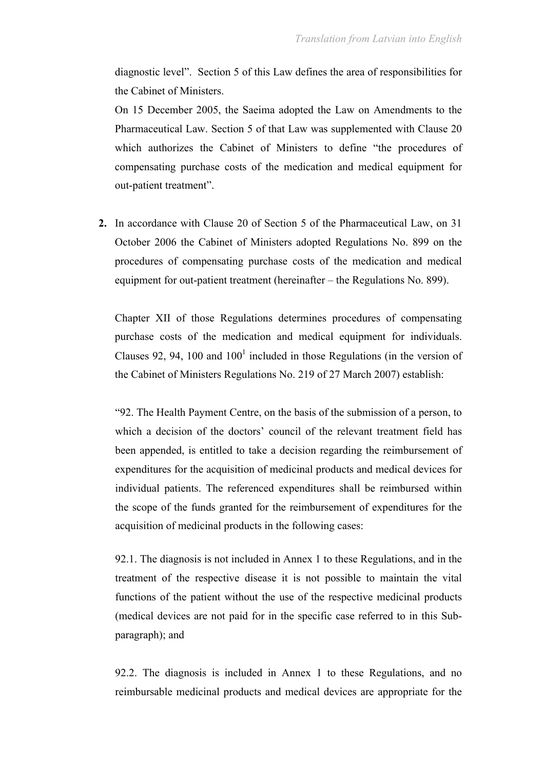diagnostic level". Section 5 of this Law defines the area of responsibilities for the Cabinet of Ministers.

On 15 December 2005, the Saeima adopted the Law on Amendments to the Pharmaceutical Law. Section 5 of that Law was supplemented with Clause 20 which authorizes the Cabinet of Ministers to define "the procedures of compensating purchase costs of the medication and medical equipment for out-patient treatment".

**2.** In accordance with Clause 20 of Section 5 of the Pharmaceutical Law, on 31 October 2006 the Cabinet of Ministers adopted Regulations No. 899 on the procedures of compensating purchase costs of the medication and medical equipment for out-patient treatment (hereinafter – the Regulations No. 899).

Chapter XII of those Regulations determines procedures of compensating purchase costs of the medication and medical equipment for individuals. Clauses 92, 94, 100 and  $100<sup>1</sup>$  included in those Regulations (in the version of the Cabinet of Ministers Regulations No. 219 of 27 March 2007) establish:

"92. The Health Payment Centre, on the basis of the submission of a person, to which a decision of the doctors' council of the relevant treatment field has been appended, is entitled to take a decision regarding the reimbursement of expenditures for the acquisition of medicinal products and medical devices for individual patients. The referenced expenditures shall be reimbursed within the scope of the funds granted for the reimbursement of expenditures for the acquisition of medicinal products in the following cases:

92.1. The diagnosis is not included in Annex 1 to these Regulations, and in the treatment of the respective disease it is not possible to maintain the vital functions of the patient without the use of the respective medicinal products (medical devices are not paid for in the specific case referred to in this Subparagraph); and

92.2. The diagnosis is included in Annex 1 to these Regulations, and no reimbursable medicinal products and medical devices are appropriate for the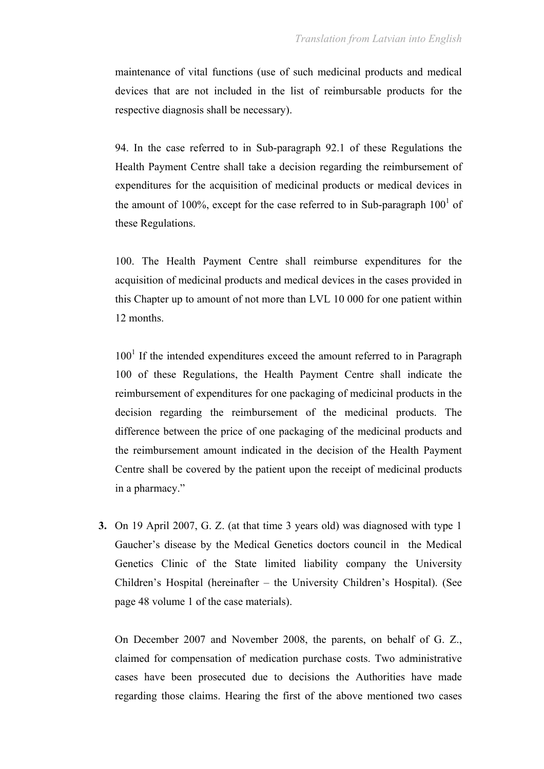maintenance of vital functions (use of such medicinal products and medical devices that are not included in the list of reimbursable products for the respective diagnosis shall be necessary).

94. In the case referred to in Sub-paragraph 92.1 of these Regulations the Health Payment Centre shall take a decision regarding the reimbursement of expenditures for the acquisition of medicinal products or medical devices in the amount of 100%, except for the case referred to in Sub-paragraph  $100<sup>1</sup>$  of these Regulations.

100. The Health Payment Centre shall reimburse expenditures for the acquisition of medicinal products and medical devices in the cases provided in this Chapter up to amount of not more than LVL 10 000 for one patient within 12 months.

 $100<sup>1</sup>$  If the intended expenditures exceed the amount referred to in Paragraph 100 of these Regulations, the Health Payment Centre shall indicate the reimbursement of expenditures for one packaging of medicinal products in the decision regarding the reimbursement of the medicinal products. The difference between the price of one packaging of the medicinal products and the reimbursement amount indicated in the decision of the Health Payment Centre shall be covered by the patient upon the receipt of medicinal products in a pharmacy."

**3.** On 19 April 2007, G. Z. (at that time 3 years old) was diagnosed with type 1 Gaucher's disease by the Medical Genetics doctors council in the Medical Genetics Clinic of the State limited liability company the University Children's Hospital (hereinafter – the University Children's Hospital). (See page 48 volume 1 of the case materials).

On December 2007 and November 2008, the parents, on behalf of G. Z., claimed for compensation of medication purchase costs. Two administrative cases have been prosecuted due to decisions the Authorities have made regarding those claims. Hearing the first of the above mentioned two cases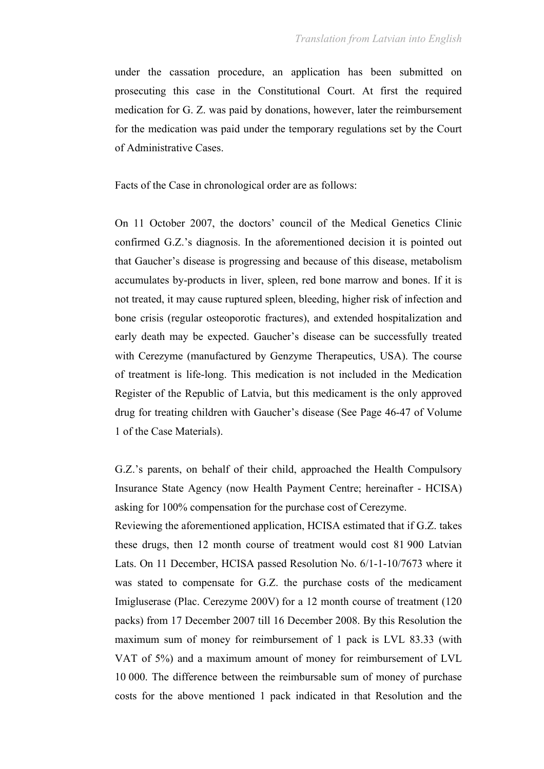under the cassation procedure, an application has been submitted on prosecuting this case in the Constitutional Court. At first the required medication for G. Z. was paid by donations, however, later the reimbursement for the medication was paid under the temporary regulations set by the Court of Administrative Cases.

Facts of the Case in chronological order are as follows:

On 11 October 2007, the doctors' council of the Medical Genetics Clinic confirmed G.Z.'s diagnosis. In the aforementioned decision it is pointed out that Gaucher's disease is progressing and because of this disease, metabolism accumulates by-products in liver, spleen, red bone marrow and bones. If it is not treated, it may cause ruptured spleen, bleeding, higher risk of infection and bone crisis (regular osteoporotic fractures), and extended hospitalization and early death may be expected. Gaucher's disease can be successfully treated with Cerezyme (manufactured by Genzyme Therapeutics, USA). The course of treatment is life-long. This medication is not included in the Medication Register of the Republic of Latvia, but this medicament is the only approved drug for treating children with Gaucher's disease (See Page 46-47 of Volume 1 of the Case Materials).

G.Z.'s parents, on behalf of their child, approached the Health Compulsory Insurance State Agency (now Health Payment Centre; hereinafter - HCISA) asking for 100% compensation for the purchase cost of Cerezyme.

Reviewing the aforementioned application, HCISA estimated that if G.Z. takes these drugs, then 12 month course of treatment would cost 81 900 Latvian Lats. On 11 December, HCISA passed Resolution No. 6/1-1-10/7673 where it was stated to compensate for G.Z. the purchase costs of the medicament Imigluserase (Plac. Cerezyme 200V) for a 12 month course of treatment (120 packs) from 17 December 2007 till 16 December 2008. By this Resolution the maximum sum of money for reimbursement of 1 pack is LVL 83.33 (with VAT of 5%) and a maximum amount of money for reimbursement of LVL 10 000. The difference between the reimbursable sum of money of purchase costs for the above mentioned 1 pack indicated in that Resolution and the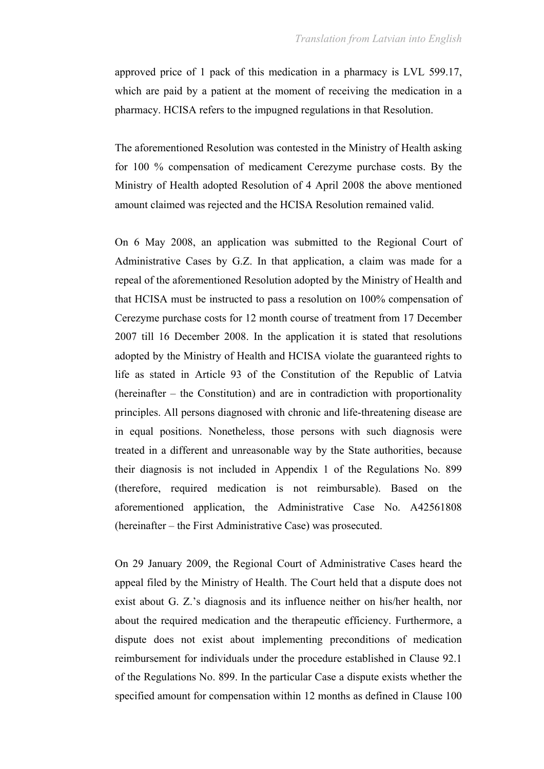approved price of 1 pack of this medication in a pharmacy is LVL 599.17, which are paid by a patient at the moment of receiving the medication in a pharmacy. HCISA refers to the impugned regulations in that Resolution.

The aforementioned Resolution was contested in the Ministry of Health asking for 100 % compensation of medicament Cerezyme purchase costs. By the Ministry of Health adopted Resolution of 4 April 2008 the above mentioned amount claimed was rejected and the HCISA Resolution remained valid.

On 6 May 2008, an application was submitted to the Regional Court of Administrative Cases by G.Z. In that application, a claim was made for a repeal of the aforementioned Resolution adopted by the Ministry of Health and that HCISA must be instructed to pass a resolution on 100% compensation of Cerezyme purchase costs for 12 month course of treatment from 17 December 2007 till 16 December 2008. In the application it is stated that resolutions adopted by the Ministry of Health and HCISA violate the guaranteed rights to life as stated in Article 93 of the Constitution of the Republic of Latvia (hereinafter – the Constitution) and are in contradiction with proportionality principles. All persons diagnosed with chronic and life-threatening disease are in equal positions. Nonetheless, those persons with such diagnosis were treated in a different and unreasonable way by the State authorities, because their diagnosis is not included in Appendix 1 of the Regulations No. 899 (therefore, required medication is not reimbursable). Based on the aforementioned application, the Administrative Case No. A42561808 (hereinafter – the First Administrative Case) was prosecuted.

On 29 January 2009, the Regional Court of Administrative Cases heard the appeal filed by the Ministry of Health. The Court held that a dispute does not exist about G. Z.'s diagnosis and its influence neither on his/her health, nor about the required medication and the therapeutic efficiency. Furthermore, a dispute does not exist about implementing preconditions of medication reimbursement for individuals under the procedure established in Clause 92.1 of the Regulations No. 899. In the particular Case a dispute exists whether the specified amount for compensation within 12 months as defined in Clause 100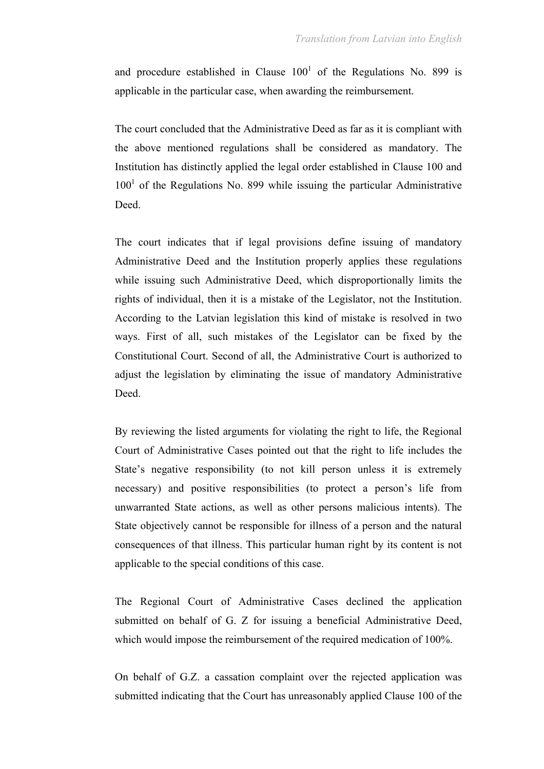and procedure established in Clause  $100<sup>1</sup>$  of the Regulations No. 899 is applicable in the particular case, when awarding the reimbursement.

The court concluded that the Administrative Deed as far as it is compliant with the above mentioned regulations shall be considered as mandatory. The Institution has distinctly applied the legal order established in Clause 100 and  $100<sup>1</sup>$  of the Regulations No. 899 while issuing the particular Administrative Deed.

The court indicates that if legal provisions define issuing of mandatory Administrative Deed and the Institution properly applies these regulations while issuing such Administrative Deed, which disproportionally limits the rights of individual, then it is a mistake of the Legislator, not the Institution. According to the Latvian legislation this kind of mistake is resolved in two ways. First of all, such mistakes of the Legislator can be fixed by the Constitutional Court. Second of all, the Administrative Court is authorized to adjust the legislation by eliminating the issue of mandatory Administrative Deed.

By reviewing the listed arguments for violating the right to life, the Regional Court of Administrative Cases pointed out that the right to life includes the State's negative responsibility (to not kill person unless it is extremely necessary) and positive responsibilities (to protect a person's life from unwarranted State actions, as well as other persons malicious intents). The State objectively cannot be responsible for illness of a person and the natural consequences of that illness. This particular human right by its content is not applicable to the special conditions of this case.

The Regional Court of Administrative Cases declined the application submitted on behalf of G. Z for issuing a beneficial Administrative Deed, which would impose the reimbursement of the required medication of 100%.

On behalf of G.Z. a cassation complaint over the rejected application was submitted indicating that the Court has unreasonably applied Clause 100 of the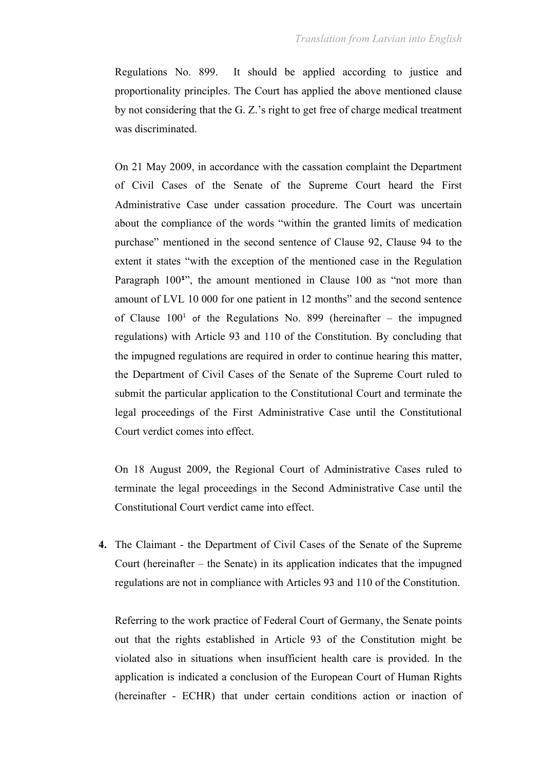Regulations No. 899. It should be applied according to justice and proportionality principles. The Court has applied the above mentioned clause by not considering that the G. Z.'s right to get free of charge medical treatment was discriminated.

On 21 May 2009, in accordance with the cassation complaint the Department of Civil Cases of the Senate of the Supreme Court heard the First Administrative Case under cassation procedure. The Court was uncertain about the compliance of the words "within the granted limits of medication purchase" mentioned in the second sentence of Clause 92, Clause 94 to the extent it states "with the exception of the mentioned case in the Regulation Paragraph 100<sup>1</sup>", the amount mentioned in Clause 100 as "not more than amount of LVL 10 000 for one patient in 12 months" and the second sentence of Clause  $100<sup>1</sup>$  of the Regulations No. 899 (hereinafter – the impugned regulations) with Article 93 and 110 of the Constitution. By concluding that the impugned regulations are required in order to continue hearing this matter, the Department of Civil Cases of the Senate of the Supreme Court ruled to submit the particular application to the Constitutional Court and terminate the legal proceedings of the First Administrative Case until the Constitutional Court verdict comes into effect.

On 18 August 2009, the Regional Court of Administrative Cases ruled to terminate the legal proceedings in the Second Administrative Case until the Constitutional Court verdict came into effect.

**4.** The Claimant - the Department of Civil Cases of the Senate of the Supreme Court (hereinafter – the Senate) in its application indicates that the impugned regulations are not in compliance with Articles 93 and 110 of the Constitution.

Referring to the work practice of Federal Court of Germany, the Senate points out that the rights established in Article 93 of the Constitution might be violated also in situations when insufficient health care is provided. In the application is indicated a conclusion of the European Court of Human Rights (hereinafter - ECHR) that under certain conditions action or inaction of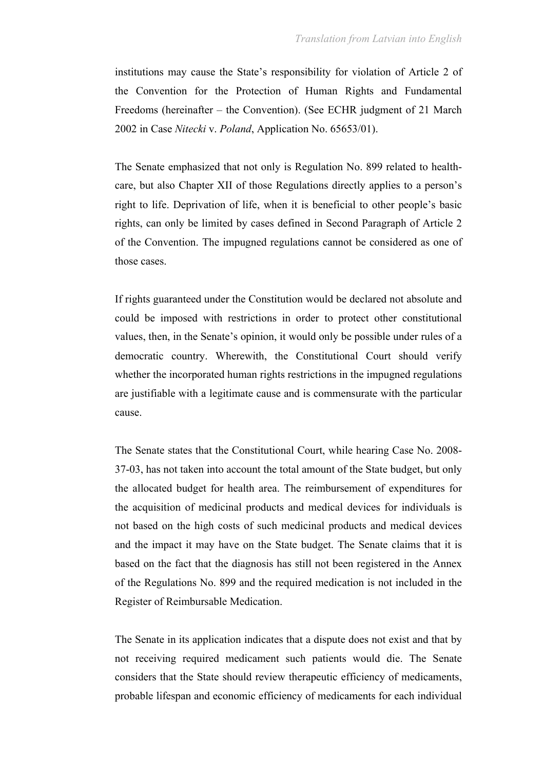institutions may cause the State's responsibility for violation of Article 2 of the Convention for the Protection of Human Rights and Fundamental Freedoms (hereinafter – the Convention). (See ECHR judgment of 21 March 2002 in Case *Nitecki* v. *Poland*, Application No. 65653/01).

The Senate emphasized that not only is Regulation No. 899 related to healthcare, but also Chapter XII of those Regulations directly applies to a person's right to life. Deprivation of life, when it is beneficial to other people's basic rights, can only be limited by cases defined in Second Paragraph of Article 2 of the Convention. The impugned regulations cannot be considered as one of those cases.

If rights guaranteed under the Constitution would be declared not absolute and could be imposed with restrictions in order to protect other constitutional values, then, in the Senate's opinion, it would only be possible under rules of a democratic country. Wherewith, the Constitutional Court should verify whether the incorporated human rights restrictions in the impugned regulations are justifiable with a legitimate cause and is commensurate with the particular cause.

The Senate states that the Constitutional Court, while hearing Case No. 2008- 37-03, has not taken into account the total amount of the State budget, but only the allocated budget for health area. The reimbursement of expenditures for the acquisition of medicinal products and medical devices for individuals is not based on the high costs of such medicinal products and medical devices and the impact it may have on the State budget. The Senate claims that it is based on the fact that the diagnosis has still not been registered in the Annex of the Regulations No. 899 and the required medication is not included in the Register of Reimbursable Medication.

The Senate in its application indicates that a dispute does not exist and that by not receiving required medicament such patients would die. The Senate considers that the State should review therapeutic efficiency of medicaments, probable lifespan and economic efficiency of medicaments for each individual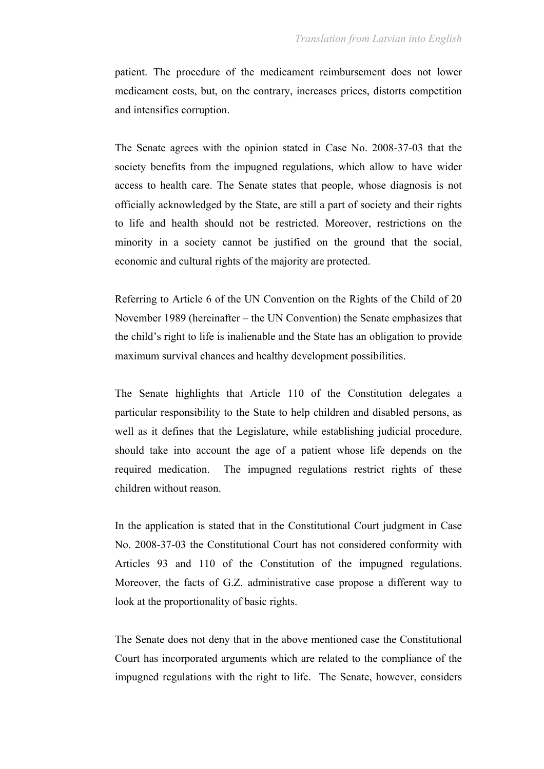patient. The procedure of the medicament reimbursement does not lower medicament costs, but, on the contrary, increases prices, distorts competition and intensifies corruption.

The Senate agrees with the opinion stated in Case No. 2008-37-03 that the society benefits from the impugned regulations, which allow to have wider access to health care. The Senate states that people, whose diagnosis is not officially acknowledged by the State, are still a part of society and their rights to life and health should not be restricted. Moreover, restrictions on the minority in a society cannot be justified on the ground that the social, economic and cultural rights of the majority are protected.

Referring to Article 6 of the UN Convention on the Rights of the Child of 20 November 1989 (hereinafter – the UN Convention) the Senate emphasizes that the child's right to life is inalienable and the State has an obligation to provide maximum survival chances and healthy development possibilities.

The Senate highlights that Article 110 of the Constitution delegates a particular responsibility to the State to help children and disabled persons, as well as it defines that the Legislature, while establishing judicial procedure, should take into account the age of a patient whose life depends on the required medication. The impugned regulations restrict rights of these children without reason.

In the application is stated that in the Constitutional Court judgment in Case No. 2008-37-03 the Constitutional Court has not considered conformity with Articles 93 and 110 of the Constitution of the impugned regulations. Moreover, the facts of G.Z. administrative case propose a different way to look at the proportionality of basic rights.

The Senate does not deny that in the above mentioned case the Constitutional Court has incorporated arguments which are related to the compliance of the impugned regulations with the right to life. The Senate, however, considers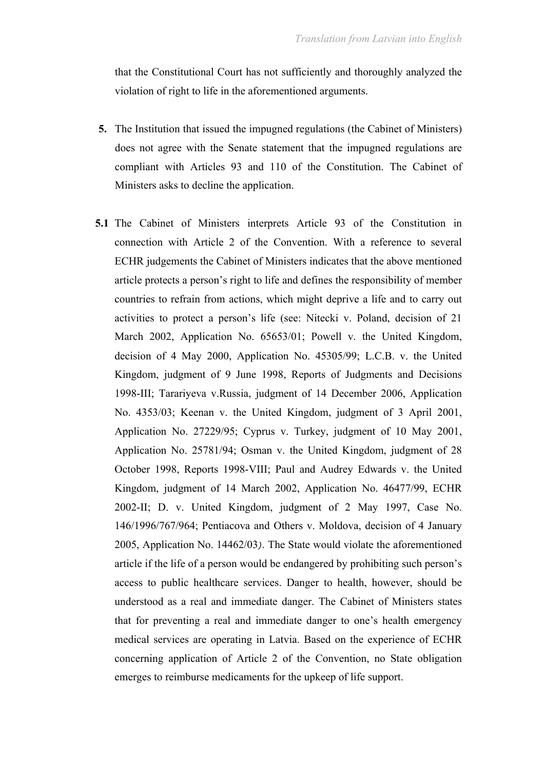that the Constitutional Court has not sufficiently and thoroughly analyzed the violation of right to life in the aforementioned arguments.

- **5.** The Institution that issued the impugned regulations (the Cabinet of Ministers) does not agree with the Senate statement that the impugned regulations are compliant with Articles 93 and 110 of the Constitution. The Cabinet of Ministers asks to decline the application.
- **5.1** The Cabinet of Ministers interprets Article 93 of the Constitution in connection with Article 2 of the Convention. With a reference to several ECHR judgements the Cabinet of Ministers indicates that the above mentioned article protects a person's right to life and defines the responsibility of member countries to refrain from actions, which might deprive a life and to carry out activities to protect a person's life (see: Nitecki v. Poland, decision of 21 March 2002, Application No. 65653/01; Powell v. the United Kingdom, decision of 4 May 2000, Application No. 45305/99; L.C.B. v. the United Kingdom, judgment of 9 June 1998, Reports of Judgments and Decisions 1998-III; Tarariyeva v.Russia, judgment of 14 December 2006, Application No. 4353/03; Keenan v. the United Kingdom, judgment of 3 April 2001, Application No. 27229/95; Cyprus v. Turkey, judgment of 10 May 2001, Application No. 25781/94; Osman v. the United Kingdom, judgment of 28 October 1998, Reports 1998-VIII; Paul and Audrey Edwards v. the United Kingdom, judgment of 14 March 2002, Application No. 46477/99, ECHR 2002-II; D. v. United Kingdom, judgment of 2 May 1997, Case No. 146/1996/767/964; Pentiacova and Others v. Moldova, decision of 4 January 2005, Application No. 14462/03*)*. The State would violate the aforementioned article if the life of a person would be endangered by prohibiting such person's access to public healthcare services. Danger to health, however, should be understood as a real and immediate danger. The Cabinet of Ministers states that for preventing a real and immediate danger to one's health emergency medical services are operating in Latvia. Based on the experience of ECHR concerning application of Article 2 of the Convention, no State obligation emerges to reimburse medicaments for the upkeep of life support.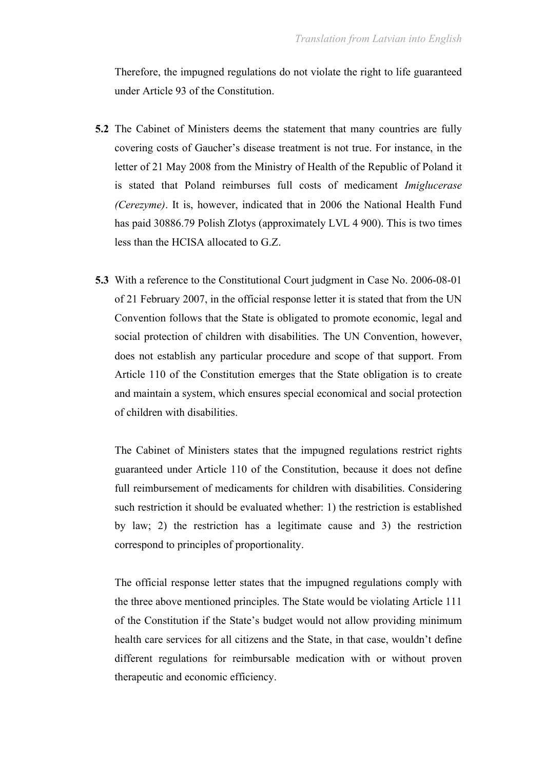Therefore, the impugned regulations do not violate the right to life guaranteed under Article 93 of the Constitution.

- **5.2** The Cabinet of Ministers deems the statement that many countries are fully covering costs of Gaucher's disease treatment is not true. For instance, in the letter of 21 May 2008 from the Ministry of Health of the Republic of Poland it is stated that Poland reimburses full costs of medicament *Imiglucerase (Cerezyme)*. It is, however, indicated that in 2006 the National Health Fund has paid 30886.79 Polish Zlotys (approximately LVL 4 900). This is two times less than the HCISA allocated to G.Z.
- **5.3** With a reference to the Constitutional Court judgment in Case No. 2006-08-01 of 21 February 2007, in the official response letter it is stated that from the UN Convention follows that the State is obligated to promote economic, legal and social protection of children with disabilities. The UN Convention, however, does not establish any particular procedure and scope of that support. From Article 110 of the Constitution emerges that the State obligation is to create and maintain a system, which ensures special economical and social protection of children with disabilities.

The Cabinet of Ministers states that the impugned regulations restrict rights guaranteed under Article 110 of the Constitution, because it does not define full reimbursement of medicaments for children with disabilities. Considering such restriction it should be evaluated whether: 1) the restriction is established by law; 2) the restriction has a legitimate cause and 3) the restriction correspond to principles of proportionality.

The official response letter states that the impugned regulations comply with the three above mentioned principles. The State would be violating Article 111 of the Constitution if the State's budget would not allow providing minimum health care services for all citizens and the State, in that case, wouldn't define different regulations for reimbursable medication with or without proven therapeutic and economic efficiency.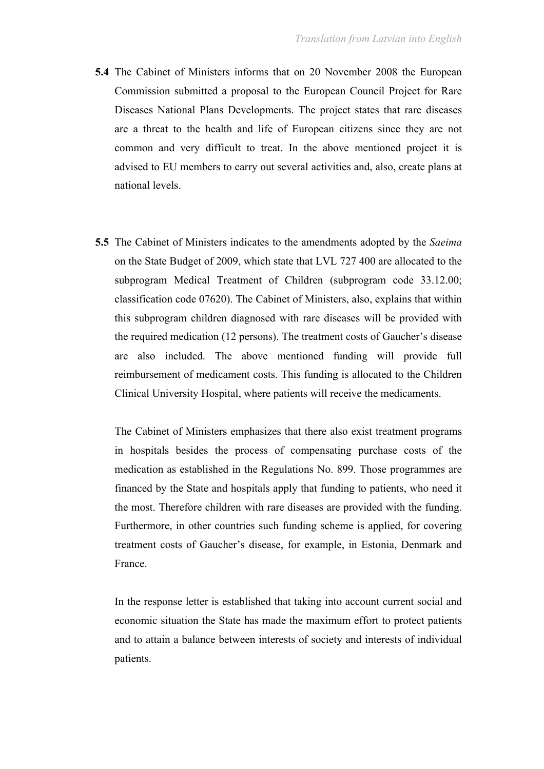- **5.4** The Cabinet of Ministers informs that on 20 November 2008 the European Commission submitted a proposal to the European Council Project for Rare Diseases National Plans Developments. The project states that rare diseases are a threat to the health and life of European citizens since they are not common and very difficult to treat. In the above mentioned project it is advised to EU members to carry out several activities and, also, create plans at national levels.
- **5.5** The Cabinet of Ministers indicates to the amendments adopted by the *Saeima* on the State Budget of 2009, which state that LVL 727 400 are allocated to the subprogram Medical Treatment of Children (subprogram code 33.12.00; classification code 07620). The Cabinet of Ministers, also, explains that within this subprogram children diagnosed with rare diseases will be provided with the required medication (12 persons). The treatment costs of Gaucher's disease are also included. The above mentioned funding will provide full reimbursement of medicament costs. This funding is allocated to the Children Clinical University Hospital, where patients will receive the medicaments.

The Cabinet of Ministers emphasizes that there also exist treatment programs in hospitals besides the process of compensating purchase costs of the medication as established in the Regulations No. 899. Those programmes are financed by the State and hospitals apply that funding to patients, who need it the most. Therefore children with rare diseases are provided with the funding. Furthermore, in other countries such funding scheme is applied, for covering treatment costs of Gaucher's disease, for example, in Estonia, Denmark and France.

In the response letter is established that taking into account current social and economic situation the State has made the maximum effort to protect patients and to attain a balance between interests of society and interests of individual patients.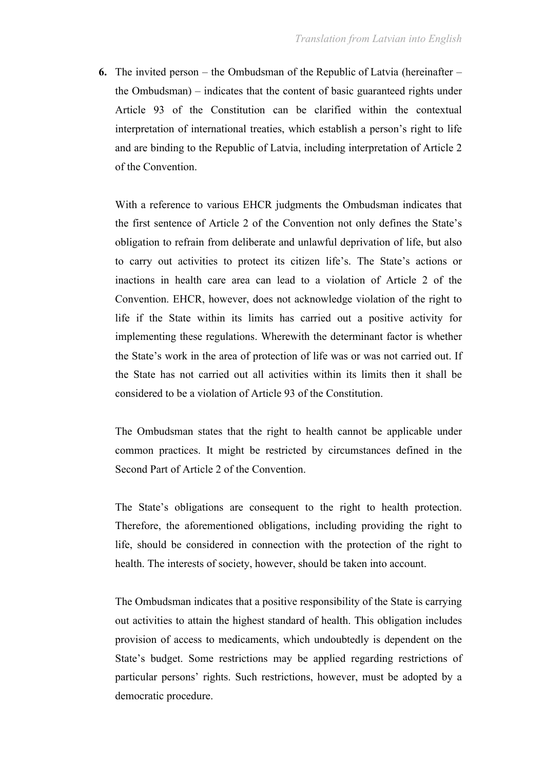**6.** The invited person – the Ombudsman of the Republic of Latvia (hereinafter – the Ombudsman) – indicates that the content of basic guaranteed rights under Article 93 of the Constitution can be clarified within the contextual interpretation of international treaties, which establish a person's right to life and are binding to the Republic of Latvia, including interpretation of Article 2 of the Convention.

With a reference to various EHCR judgments the Ombudsman indicates that the first sentence of Article 2 of the Convention not only defines the State's obligation to refrain from deliberate and unlawful deprivation of life, but also to carry out activities to protect its citizen life's. The State's actions or inactions in health care area can lead to a violation of Article 2 of the Convention. EHCR, however, does not acknowledge violation of the right to life if the State within its limits has carried out a positive activity for implementing these regulations. Wherewith the determinant factor is whether the State's work in the area of protection of life was or was not carried out. If the State has not carried out all activities within its limits then it shall be considered to be a violation of Article 93 of the Constitution.

The Ombudsman states that the right to health cannot be applicable under common practices. It might be restricted by circumstances defined in the Second Part of Article 2 of the Convention.

The State's obligations are consequent to the right to health protection. Therefore, the aforementioned obligations, including providing the right to life, should be considered in connection with the protection of the right to health. The interests of society, however, should be taken into account.

The Ombudsman indicates that a positive responsibility of the State is carrying out activities to attain the highest standard of health. This obligation includes provision of access to medicaments, which undoubtedly is dependent on the State's budget. Some restrictions may be applied regarding restrictions of particular persons' rights. Such restrictions, however, must be adopted by a democratic procedure.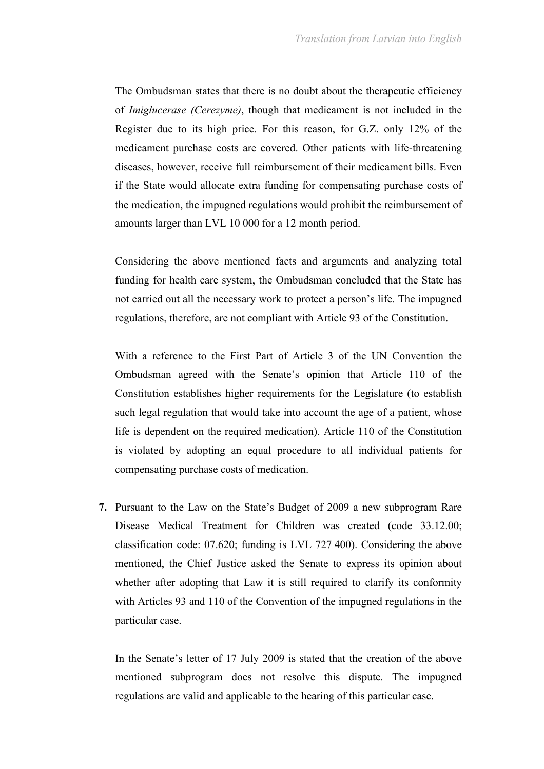The Ombudsman states that there is no doubt about the therapeutic efficiency of *Imiglucerase (Cerezyme)*, though that medicament is not included in the Register due to its high price. For this reason, for G.Z. only 12% of the medicament purchase costs are covered. Other patients with life-threatening diseases, however, receive full reimbursement of their medicament bills. Even if the State would allocate extra funding for compensating purchase costs of the medication, the impugned regulations would prohibit the reimbursement of amounts larger than LVL 10 000 for a 12 month period.

Considering the above mentioned facts and arguments and analyzing total funding for health care system, the Ombudsman concluded that the State has not carried out all the necessary work to protect a person's life. The impugned regulations, therefore, are not compliant with Article 93 of the Constitution.

With a reference to the First Part of Article 3 of the UN Convention the Ombudsman agreed with the Senate's opinion that Article 110 of the Constitution establishes higher requirements for the Legislature (to establish such legal regulation that would take into account the age of a patient, whose life is dependent on the required medication). Article 110 of the Constitution is violated by adopting an equal procedure to all individual patients for compensating purchase costs of medication.

**7.** Pursuant to the Law on the State's Budget of 2009 a new subprogram Rare Disease Medical Treatment for Children was created (code 33.12.00; classification code: 07.620; funding is LVL 727 400). Considering the above mentioned, the Chief Justice asked the Senate to express its opinion about whether after adopting that Law it is still required to clarify its conformity with Articles 93 and 110 of the Convention of the impugned regulations in the particular case.

In the Senate's letter of 17 July 2009 is stated that the creation of the above mentioned subprogram does not resolve this dispute. The impugned regulations are valid and applicable to the hearing of this particular case.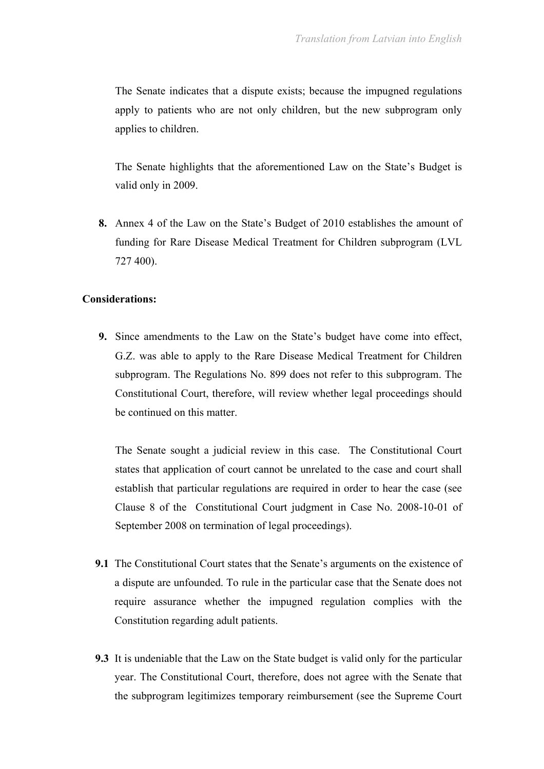The Senate indicates that a dispute exists; because the impugned regulations apply to patients who are not only children, but the new subprogram only applies to children.

The Senate highlights that the aforementioned Law on the State's Budget is valid only in 2009.

**8.** Annex 4 of the Law on the State's Budget of 2010 establishes the amount of funding for Rare Disease Medical Treatment for Children subprogram (LVL 727 400).

#### **Considerations:**

**9.** Since amendments to the Law on the State's budget have come into effect, G.Z. was able to apply to the Rare Disease Medical Treatment for Children subprogram. The Regulations No. 899 does not refer to this subprogram. The Constitutional Court, therefore, will review whether legal proceedings should be continued on this matter.

The Senate sought a judicial review in this case. The Constitutional Court states that application of court cannot be unrelated to the case and court shall establish that particular regulations are required in order to hear the case (see Clause 8 of the Constitutional Court judgment in Case No. 2008-10-01 of September 2008 on termination of legal proceedings).

- **9.1** The Constitutional Court states that the Senate's arguments on the existence of a dispute are unfounded. To rule in the particular case that the Senate does not require assurance whether the impugned regulation complies with the Constitution regarding adult patients.
- **9.3** It is undeniable that the Law on the State budget is valid only for the particular year. The Constitutional Court, therefore, does not agree with the Senate that the subprogram legitimizes temporary reimbursement (see the Supreme Court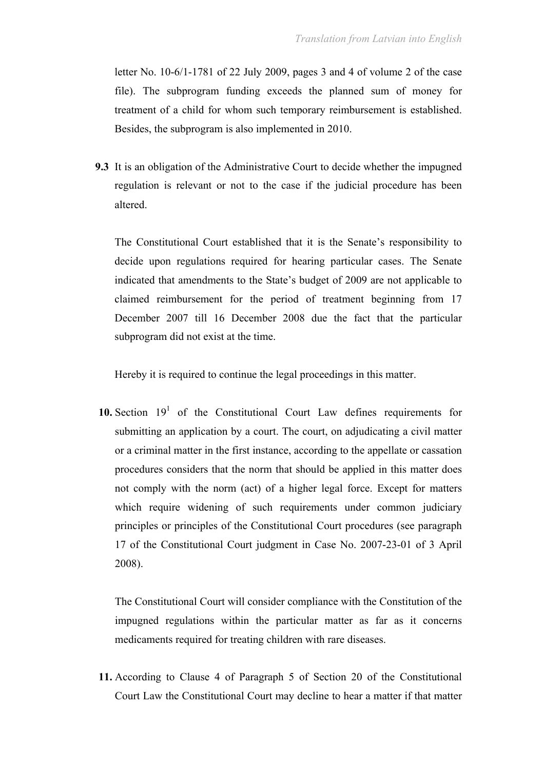letter No. 10-6/1-1781 of 22 July 2009, pages 3 and 4 of volume 2 of the case file). The subprogram funding exceeds the planned sum of money for treatment of a child for whom such temporary reimbursement is established. Besides, the subprogram is also implemented in 2010.

**9.3** It is an obligation of the Administrative Court to decide whether the impugned regulation is relevant or not to the case if the judicial procedure has been altered.

The Constitutional Court established that it is the Senate's responsibility to decide upon regulations required for hearing particular cases. The Senate indicated that amendments to the State's budget of 2009 are not applicable to claimed reimbursement for the period of treatment beginning from 17 December 2007 till 16 December 2008 due the fact that the particular subprogram did not exist at the time.

Hereby it is required to continue the legal proceedings in this matter.

**10.** Section  $19<sup>1</sup>$  of the Constitutional Court Law defines requirements for submitting an application by a court. The court, on adjudicating a civil matter or a criminal matter in the first instance, according to the appellate or cassation procedures considers that the norm that should be applied in this matter does not comply with the norm (act) of a higher legal force. Except for matters which require widening of such requirements under common judiciary principles or principles of the Constitutional Court procedures (see paragraph 17 of the Constitutional Court judgment in Case No. 2007-23-01 of 3 April 2008).

The Constitutional Court will consider compliance with the Constitution of the impugned regulations within the particular matter as far as it concerns medicaments required for treating children with rare diseases.

**11.** According to Clause 4 of Paragraph 5 of Section 20 of the Constitutional Court Law the Constitutional Court may decline to hear a matter if that matter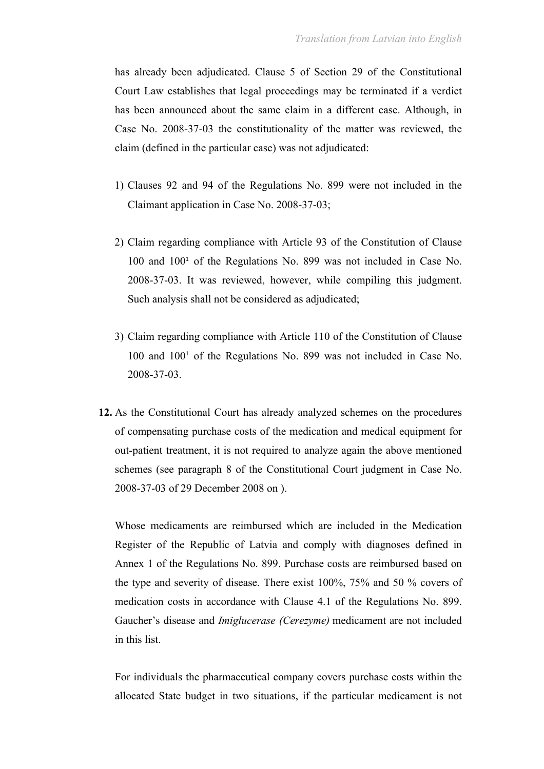has already been adjudicated. Clause 5 of Section 29 of the Constitutional Court Law establishes that legal proceedings may be terminated if a verdict has been announced about the same claim in a different case. Although, in Case No. 2008-37-03 the constitutionality of the matter was reviewed, the claim (defined in the particular case) was not adjudicated:

- 1) Clauses 92 and 94 of the Regulations No. 899 were not included in the Claimant application in Case No. 2008-37-03;
- 2) Claim regarding compliance with Article 93 of the Constitution of Clause 100 and 100<sup>1</sup> of the Regulations No. 899 was not included in Case No. 2008-37-03. It was reviewed, however, while compiling this judgment. Such analysis shall not be considered as adjudicated;
- 3) Claim regarding compliance with Article 110 of the Constitution of Clause 100 and 100<sup>1</sup> of the Regulations No. 899 was not included in Case No. 2008-37-03.
- **12.** As the Constitutional Court has already analyzed schemes on the procedures of compensating purchase costs of the medication and medical equipment for out-patient treatment, it is not required to analyze again the above mentioned schemes (see paragraph 8 of the Constitutional Court judgment in Case No. 2008-37-03 of 29 December 2008 on ).

Whose medicaments are reimbursed which are included in the Medication Register of the Republic of Latvia and comply with diagnoses defined in Annex 1 of the Regulations No. 899. Purchase costs are reimbursed based on the type and severity of disease. There exist 100%, 75% and 50 % covers of medication costs in accordance with Clause 4.1 of the Regulations No. 899. Gaucher's disease and *Imiglucerase (Cerezyme)* medicament are not included in this list.

For individuals the pharmaceutical company covers purchase costs within the allocated State budget in two situations, if the particular medicament is not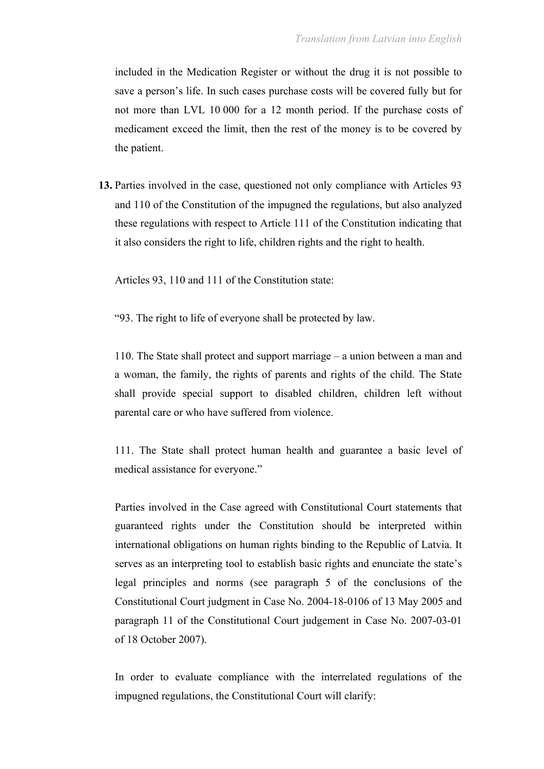included in the Medication Register or without the drug it is not possible to save a person's life. In such cases purchase costs will be covered fully but for not more than LVL 10 000 for a 12 month period. If the purchase costs of medicament exceed the limit, then the rest of the money is to be covered by the patient.

**13.** Parties involved in the case, questioned not only compliance with Articles 93 and 110 of the Constitution of the impugned the regulations, but also analyzed these regulations with respect to Article 111 of the Constitution indicating that it also considers the right to life, children rights and the right to health.

Articles 93, 110 and 111 of the Constitution state:

"93. The right to life of everyone shall be protected by law.

110. The State shall protect and support marriage – a union between a man and a woman, the family, the rights of parents and rights of the child. The State shall provide special support to disabled children, children left without parental care or who have suffered from violence.

111. The State shall protect human health and guarantee a basic level of medical assistance for everyone."

Parties involved in the Case agreed with Constitutional Court statements that guaranteed rights under the Constitution should be interpreted within international obligations on human rights binding to the Republic of Latvia. It serves as an interpreting tool to establish basic rights and enunciate the state's legal principles and norms (see paragraph 5 of the conclusions of the Constitutional Court judgment in Case No. 2004-18-0106 of 13 May 2005 and paragraph 11 of the Constitutional Court judgement in Case No. 2007-03-01 of 18 October 2007).

In order to evaluate compliance with the interrelated regulations of the impugned regulations, the Constitutional Court will clarify: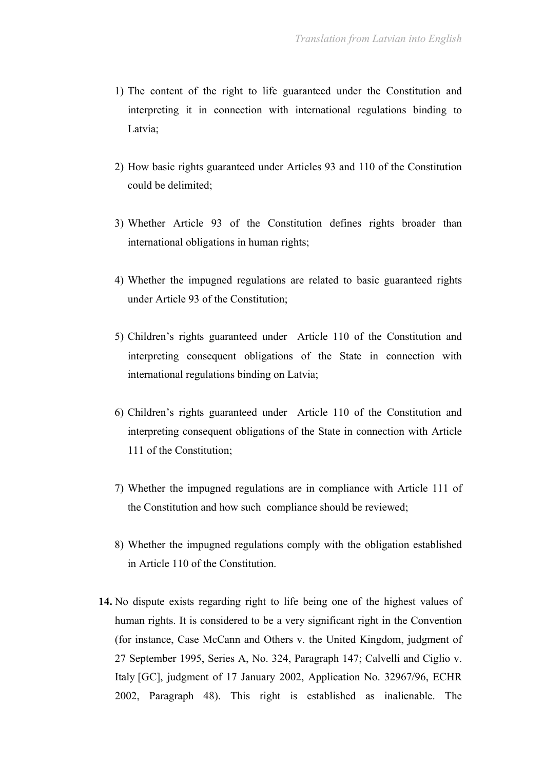- 1) The content of the right to life guaranteed under the Constitution and interpreting it in connection with international regulations binding to Latvia;
- 2) How basic rights guaranteed under Articles 93 and 110 of the Constitution could be delimited;
- 3) Whether Article 93 of the Constitution defines rights broader than international obligations in human rights;
- 4) Whether the impugned regulations are related to basic guaranteed rights under Article 93 of the Constitution;
- 5) Children's rights guaranteed under Article 110 of the Constitution and interpreting consequent obligations of the State in connection with international regulations binding on Latvia;
- 6) Children's rights guaranteed under Article 110 of the Constitution and interpreting consequent obligations of the State in connection with Article 111 of the Constitution;
- 7) Whether the impugned regulations are in compliance with Article 111 of the Constitution and how such compliance should be reviewed;
- 8) Whether the impugned regulations comply with the obligation established in Article 110 of the Constitution.
- **14.** No dispute exists regarding right to life being one of the highest values of human rights. It is considered to be a very significant right in the Convention (for instance, Case McCann and Others v. the United Kingdom, judgment of 27 September 1995, Series A, No. 324, Paragraph 147; Calvelli and Ciglio v. Italy [GC], judgment of 17 January 2002, Application No. 32967/96, ECHR 2002, Paragraph 48). This right is established as inalienable. The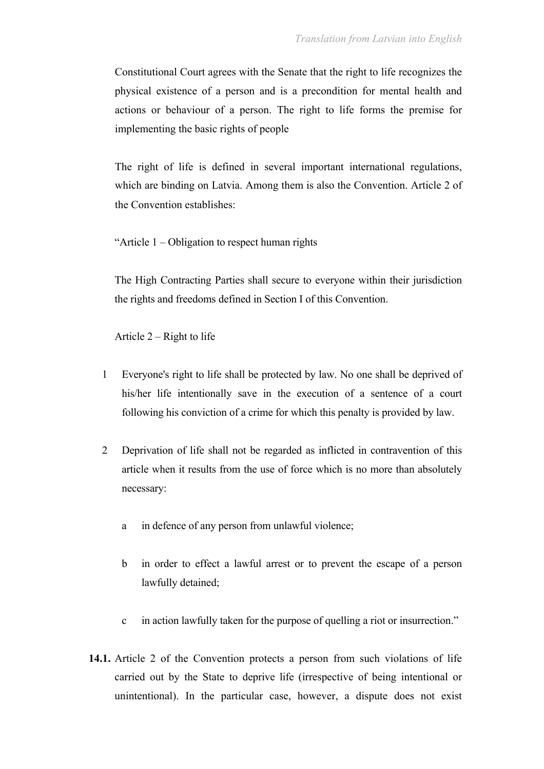Constitutional Court agrees with the Senate that the right to life recognizes the physical existence of a person and is a precondition for mental health and actions or behaviour of a person. The right to life forms the premise for implementing the basic rights of people

The right of life is defined in several important international regulations, which are binding on Latvia. Among them is also the Convention. Article 2 of the Convention establishes:

"Article 1 – Obligation to respect human rights

The High Contracting Parties shall secure to everyone within their jurisdiction the rights and freedoms defined in Section I of this Convention.

Article  $2 -$ Right to life

- 1 Everyone's right to life shall be protected by law. No one shall be deprived of his/her life intentionally save in the execution of a sentence of a court following his conviction of a crime for which this penalty is provided by law.
- 2 Deprivation of life shall not be regarded as inflicted in contravention of this article when it results from the use of force which is no more than absolutely necessary:
	- a in defence of any person from unlawful violence;
	- b in order to effect a lawful arrest or to prevent the escape of a person lawfully detained;
	- c in action lawfully taken for the purpose of quelling a riot or insurrection."
- **14.1.** Article 2 of the Convention protects a person from such violations of life carried out by the State to deprive life (irrespective of being intentional or unintentional). In the particular case, however, a dispute does not exist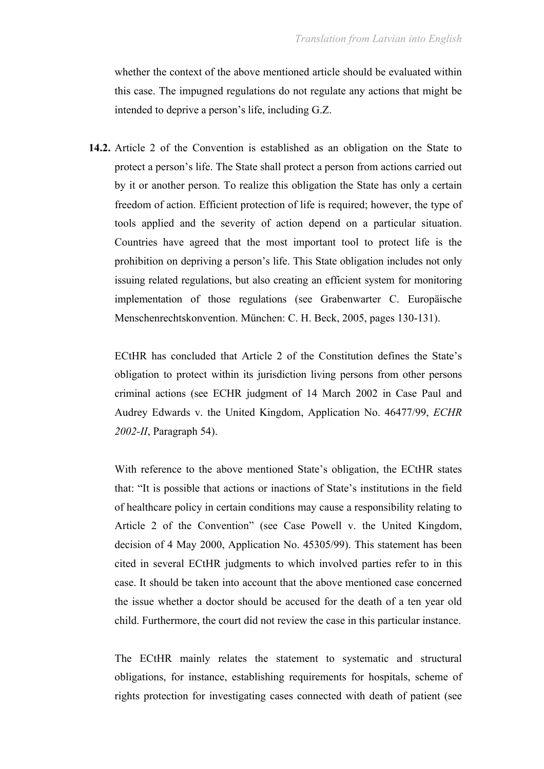whether the context of the above mentioned article should be evaluated within this case. The impugned regulations do not regulate any actions that might be intended to deprive a person's life, including G.Z.

**14.2.** Article 2 of the Convention is established as an obligation on the State to protect a person's life. The State shall protect a person from actions carried out by it or another person. To realize this obligation the State has only a certain freedom of action. Efficient protection of life is required; however, the type of tools applied and the severity of action depend on a particular situation. Countries have agreed that the most important tool to protect life is the prohibition on depriving a person's life. This State obligation includes not only issuing related regulations, but also creating an efficient system for monitoring implementation of those regulations (see Grabenwarter C. Europäische Menschenrechtskonvention. München: C. H. Beck, 2005, pages 130-131).

ECtHR has concluded that Article 2 of the Constitution defines the State's obligation to protect within its jurisdiction living persons from other persons criminal actions (see ECHR judgment of 14 March 2002 in Case Paul and Audrey Edwards v. the United Kingdom, Application No. 46477/99, *ECHR 2002-II*, Paragraph 54).

With reference to the above mentioned State's obligation, the ECtHR states that: "It is possible that actions or inactions of State's institutions in the field of healthcare policy in certain conditions may cause a responsibility relating to Article 2 of the Convention" (see Case Powell v. the United Kingdom, decision of 4 May 2000, Application No. 45305/99). This statement has been cited in several ECtHR judgments to which involved parties refer to in this case. It should be taken into account that the above mentioned case concerned the issue whether a doctor should be accused for the death of a ten year old child. Furthermore, the court did not review the case in this particular instance.

The ECtHR mainly relates the statement to systematic and structural obligations, for instance, establishing requirements for hospitals, scheme of rights protection for investigating cases connected with death of patient (see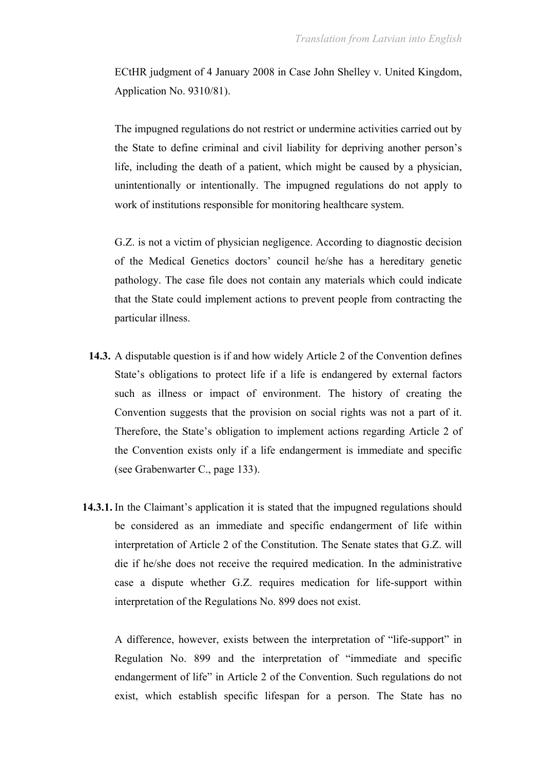ECtHR judgment of 4 January 2008 in Case John Shelley v. United Kingdom, Application No. 9310/81).

The impugned regulations do not restrict or undermine activities carried out by the State to define criminal and civil liability for depriving another person's life, including the death of a patient, which might be caused by a physician, unintentionally or intentionally. The impugned regulations do not apply to work of institutions responsible for monitoring healthcare system.

G.Z. is not a victim of physician negligence. According to diagnostic decision of the Medical Genetics doctors' council he/she has a hereditary genetic pathology. The case file does not contain any materials which could indicate that the State could implement actions to prevent people from contracting the particular illness.

- **14.3.** A disputable question is if and how widely Article 2 of the Convention defines State's obligations to protect life if a life is endangered by external factors such as illness or impact of environment. The history of creating the Convention suggests that the provision on social rights was not a part of it. Therefore, the State's obligation to implement actions regarding Article 2 of the Convention exists only if a life endangerment is immediate and specific (see Grabenwarter C., page 133).
- **14.3.1.** In the Claimant's application it is stated that the impugned regulations should be considered as an immediate and specific endangerment of life within interpretation of Article 2 of the Constitution. The Senate states that G.Z. will die if he/she does not receive the required medication. In the administrative case a dispute whether G.Z. requires medication for life-support within interpretation of the Regulations No. 899 does not exist.

A difference, however, exists between the interpretation of "life-support" in Regulation No. 899 and the interpretation of "immediate and specific endangerment of life" in Article 2 of the Convention. Such regulations do not exist, which establish specific lifespan for a person. The State has no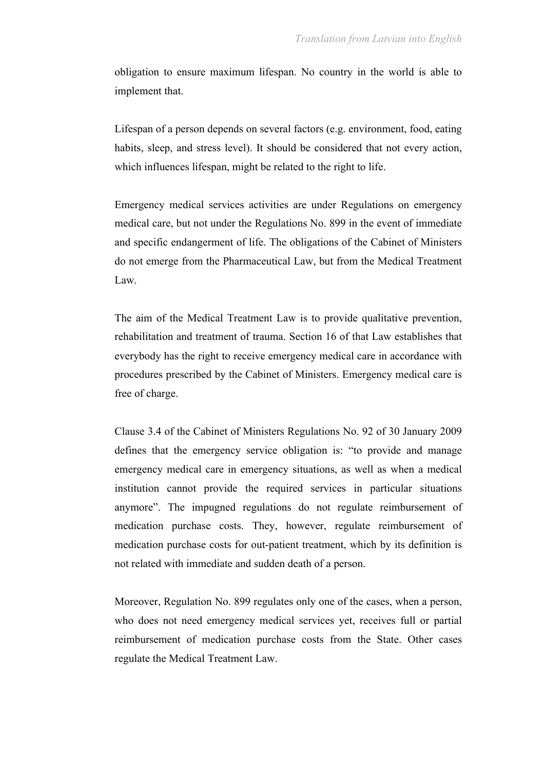obligation to ensure maximum lifespan. No country in the world is able to implement that.

Lifespan of a person depends on several factors (e.g. environment, food, eating habits, sleep, and stress level). It should be considered that not every action, which influences lifespan, might be related to the right to life.

Emergency medical services activities are under Regulations on emergency medical care, but not under the Regulations No. 899 in the event of immediate and specific endangerment of life. The obligations of the Cabinet of Ministers do not emerge from the Pharmaceutical Law, but from the Medical Treatment Law.

The aim of the Medical Treatment Law is to provide qualitative prevention, rehabilitation and treatment of trauma. Section 16 of that Law establishes that everybody has the right to receive emergency medical care in accordance with procedures prescribed by the Cabinet of Ministers. Emergency medical care is free of charge.

Clause 3.4 of the Cabinet of Ministers Regulations No. 92 of 30 January 2009 defines that the emergency service obligation is: "to provide and manage emergency medical care in emergency situations, as well as when a medical institution cannot provide the required services in particular situations anymore". The impugned regulations do not regulate reimbursement of medication purchase costs. They, however, regulate reimbursement of medication purchase costs for out-patient treatment, which by its definition is not related with immediate and sudden death of a person.

Moreover, Regulation No. 899 regulates only one of the cases, when a person, who does not need emergency medical services yet, receives full or partial reimbursement of medication purchase costs from the State. Other cases regulate the Medical Treatment Law.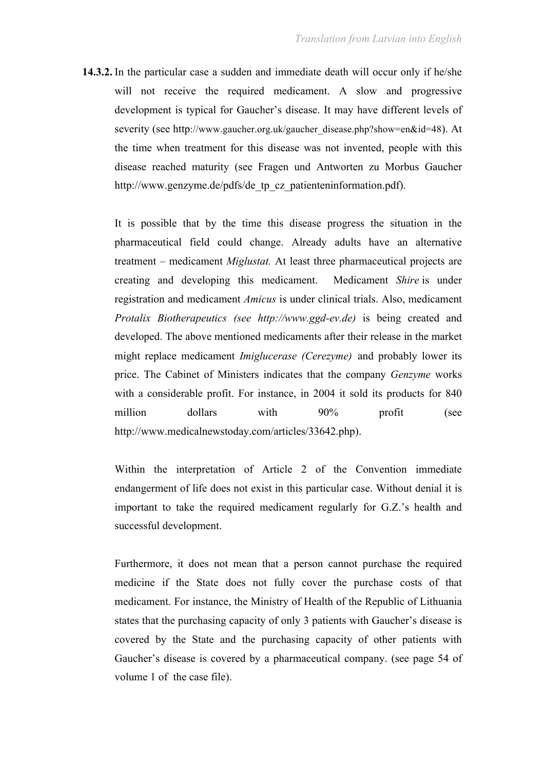**14.3.2.** In the particular case a sudden and immediate death will occur only if he/she will not receive the required medicament. A slow and progressive development is typical for Gaucher's disease. It may have different levels of severity (see http://www.gaucher.org.uk/gaucher\_disease.php?show=en&id=48). At the time when treatment for this disease was not invented, people with this disease reached maturity (see Fragen und Antworten zu Morbus Gaucher http://www.genzyme.de/pdfs/de\_tp\_cz\_patienteninformation.pdf).

It is possible that by the time this disease progress the situation in the pharmaceutical field could change. Already adults have an alternative treatment – medicament *Miglustat.* At least three pharmaceutical projects are creating and developing this medicament. Medicament *Shire* is under registration and medicament *Amicus* is under clinical trials. Also, medicament *Protalix Biotherapeutics (see http://www.ggd-ev.de)* is being created and developed. The above mentioned medicaments after their release in the market might replace medicament *Imiglucerase (Cerezyme)* and probably lower its price. The Cabinet of Ministers indicates that the company *Genzyme* works with a considerable profit. For instance, in 2004 it sold its products for 840 million dollars with 90% profit (see http://www.medicalnewstoday.com/articles/33642.php).

Within the interpretation of Article 2 of the Convention immediate endangerment of life does not exist in this particular case. Without denial it is important to take the required medicament regularly for G.Z.'s health and successful development.

Furthermore, it does not mean that a person cannot purchase the required medicine if the State does not fully cover the purchase costs of that medicament. For instance, the Ministry of Health of the Republic of Lithuania states that the purchasing capacity of only 3 patients with Gaucher's disease is covered by the State and the purchasing capacity of other patients with Gaucher's disease is covered by a pharmaceutical company. (see page 54 of volume 1 of the case file).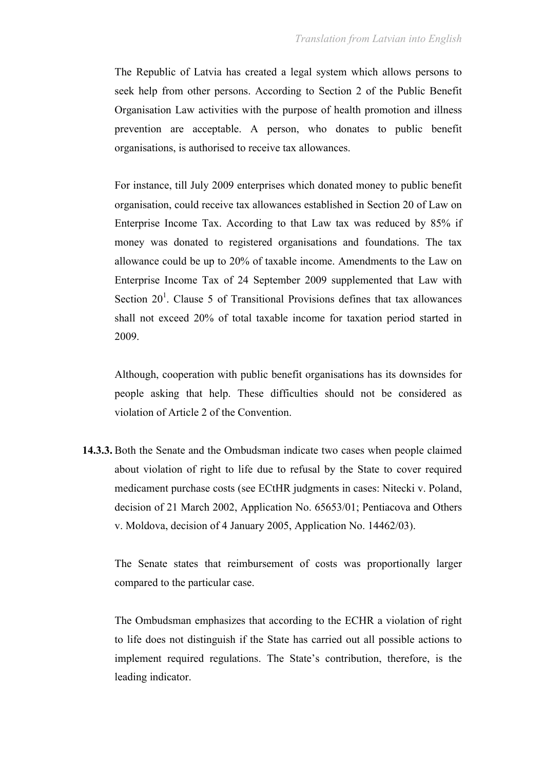The Republic of Latvia has created a legal system which allows persons to seek help from other persons. According to Section 2 of the Public Benefit Organisation Law activities with the purpose of health promotion and illness prevention are acceptable. A person, who donates to public benefit organisations, is authorised to receive tax allowances.

For instance, till July 2009 enterprises which donated money to public benefit organisation, could receive tax allowances established in Section 20 of Law on Enterprise Income Tax. According to that Law tax was reduced by 85% if money was donated to registered organisations and foundations. The tax allowance could be up to 20% of taxable income. Amendments to the Law on Enterprise Income Tax of 24 September 2009 supplemented that Law with Section  $20<sup>1</sup>$ . Clause 5 of Transitional Provisions defines that tax allowances shall not exceed 20% of total taxable income for taxation period started in 2009.

Although, cooperation with public benefit organisations has its downsides for people asking that help. These difficulties should not be considered as violation of Article 2 of the Convention.

**14.3.3.** Both the Senate and the Ombudsman indicate two cases when people claimed about violation of right to life due to refusal by the State to cover required medicament purchase costs (see ECtHR judgments in cases: Nitecki v. Poland, decision of 21 March 2002, Application No. 65653/01; Pentiacova and Others v. Moldova, decision of 4 January 2005, Application No. 14462/03).

The Senate states that reimbursement of costs was proportionally larger compared to the particular case.

The Ombudsman emphasizes that according to the ECHR a violation of right to life does not distinguish if the State has carried out all possible actions to implement required regulations. The State's contribution, therefore, is the leading indicator.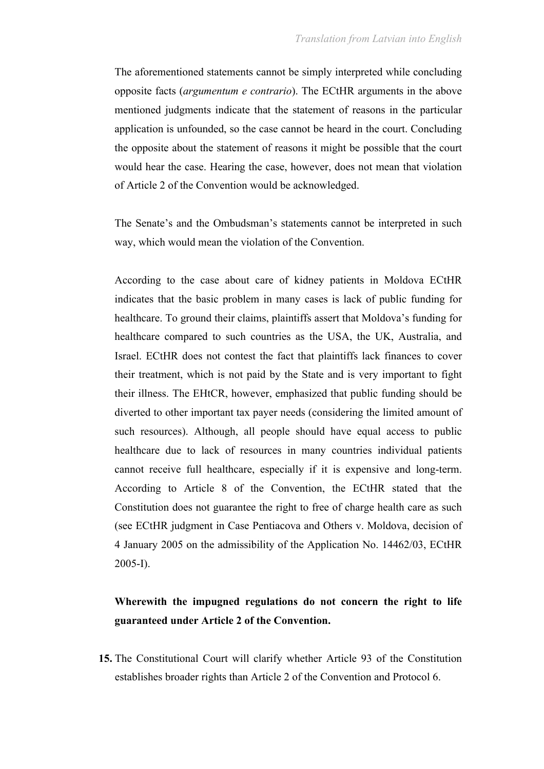The aforementioned statements cannot be simply interpreted while concluding opposite facts (*argumentum e contrario*). The ECtHR arguments in the above mentioned judgments indicate that the statement of reasons in the particular application is unfounded, so the case cannot be heard in the court. Concluding the opposite about the statement of reasons it might be possible that the court would hear the case. Hearing the case, however, does not mean that violation of Article 2 of the Convention would be acknowledged.

The Senate's and the Ombudsman's statements cannot be interpreted in such way, which would mean the violation of the Convention.

According to the case about care of kidney patients in Moldova ECtHR indicates that the basic problem in many cases is lack of public funding for healthcare. To ground their claims, plaintiffs assert that Moldova's funding for healthcare compared to such countries as the USA, the UK, Australia, and Israel. ECtHR does not contest the fact that plaintiffs lack finances to cover their treatment, which is not paid by the State and is very important to fight their illness. The EHtCR, however, emphasized that public funding should be diverted to other important tax payer needs (considering the limited amount of such resources). Although, all people should have equal access to public healthcare due to lack of resources in many countries individual patients cannot receive full healthcare, especially if it is expensive and long-term. According to Article 8 of the Convention, the ECtHR stated that the Constitution does not guarantee the right to free of charge health care as such (see ECtHR judgment in Case Pentiacova and Others v. Moldova, decision of 4 January 2005 on the admissibility of the Application No. 14462/03, ECtHR 2005-I).

### **Wherewith the impugned regulations do not concern the right to life guaranteed under Article 2 of the Convention.**

**15.** The Constitutional Court will clarify whether Article 93 of the Constitution establishes broader rights than Article 2 of the Convention and Protocol 6.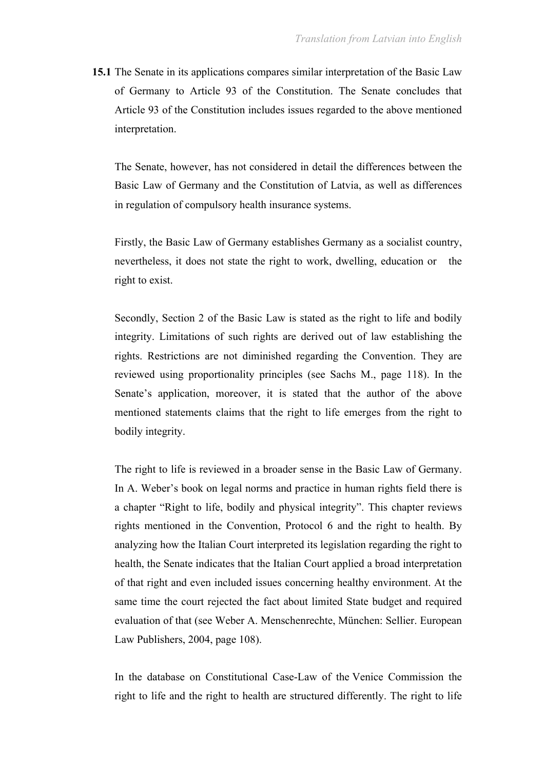**15.1** The Senate in its applications compares similar interpretation of the Basic Law of Germany to Article 93 of the Constitution. The Senate concludes that Article 93 of the Constitution includes issues regarded to the above mentioned interpretation.

The Senate, however, has not considered in detail the differences between the Basic Law of Germany and the Constitution of Latvia, as well as differences in regulation of compulsory health insurance systems.

Firstly, the Basic Law of Germany establishes Germany as a socialist country, nevertheless, it does not state the right to work, dwelling, education or the right to exist.

Secondly, Section 2 of the Basic Law is stated as the right to life and bodily integrity. Limitations of such rights are derived out of law establishing the rights. Restrictions are not diminished regarding the Convention. They are reviewed using proportionality principles (see Sachs M., page 118). In the Senate's application, moreover, it is stated that the author of the above mentioned statements claims that the right to life emerges from the right to bodily integrity.

The right to life is reviewed in a broader sense in the Basic Law of Germany. In A. Weber's book on legal norms and practice in human rights field there is a chapter "Right to life, bodily and physical integrity". This chapter reviews rights mentioned in the Convention, Protocol 6 and the right to health. By analyzing how the Italian Court interpreted its legislation regarding the right to health, the Senate indicates that the Italian Court applied a broad interpretation of that right and even included issues concerning healthy environment. At the same time the court rejected the fact about limited State budget and required evaluation of that (see Weber A. Menschenrechte, München: Sellier. European Law Publishers, 2004, page 108).

In the database on Constitutional Case-Law of the Venice Commission the right to life and the right to health are structured differently. The right to life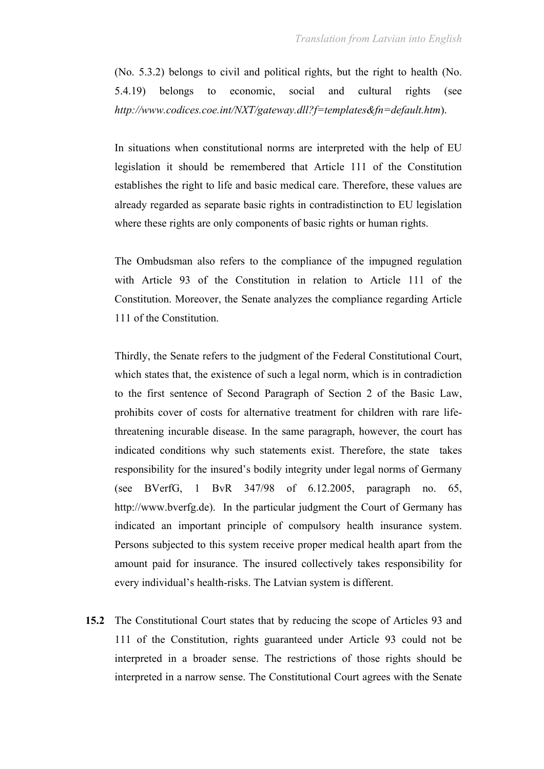(No. 5.3.2) belongs to civil and political rights, but the right to health (No. 5.4.19) belongs to economic, social and cultural rights (see *http://www.codices.coe.int/NXT/gateway.dll?f=templates&fn=default.htm*).

In situations when constitutional norms are interpreted with the help of EU legislation it should be remembered that Article 111 of the Constitution establishes the right to life and basic medical care. Therefore, these values are already regarded as separate basic rights in contradistinction to EU legislation where these rights are only components of basic rights or human rights.

The Ombudsman also refers to the compliance of the impugned regulation with Article 93 of the Constitution in relation to Article 111 of the Constitution. Moreover, the Senate analyzes the compliance regarding Article 111 of the Constitution.

Thirdly, the Senate refers to the judgment of the Federal Constitutional Court, which states that, the existence of such a legal norm, which is in contradiction to the first sentence of Second Paragraph of Section 2 of the Basic Law, prohibits cover of costs for alternative treatment for children with rare lifethreatening incurable disease. In the same paragraph, however, the court has indicated conditions why such statements exist. Therefore, the state takes responsibility for the insured's bodily integrity under legal norms of Germany (see BVerfG, 1 BvR 347/98 of 6.12.2005, paragraph no. 65, http://www.bverfg.de). In the particular judgment the Court of Germany has indicated an important principle of compulsory health insurance system. Persons subjected to this system receive proper medical health apart from the amount paid for insurance. The insured collectively takes responsibility for every individual's health-risks. The Latvian system is different.

**15.2** The Constitutional Court states that by reducing the scope of Articles 93 and 111 of the Constitution, rights guaranteed under Article 93 could not be interpreted in a broader sense. The restrictions of those rights should be interpreted in a narrow sense. The Constitutional Court agrees with the Senate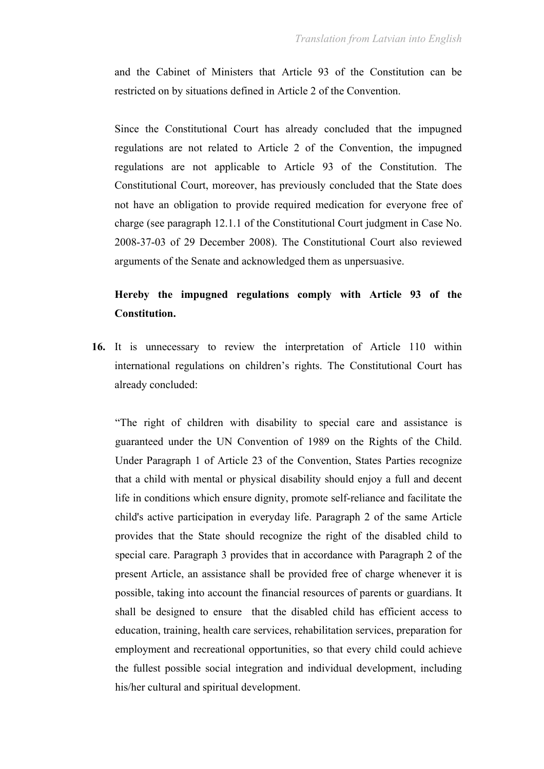and the Cabinet of Ministers that Article 93 of the Constitution can be restricted on by situations defined in Article 2 of the Convention.

Since the Constitutional Court has already concluded that the impugned regulations are not related to Article 2 of the Convention, the impugned regulations are not applicable to Article 93 of the Constitution. The Constitutional Court, moreover, has previously concluded that the State does not have an obligation to provide required medication for everyone free of charge (see paragraph 12.1.1 of the Constitutional Court judgment in Case No. 2008-37-03 of 29 December 2008). The Constitutional Court also reviewed arguments of the Senate and acknowledged them as unpersuasive.

# **Hereby the impugned regulations comply with Article 93 of the Constitution.**

**16.** It is unnecessary to review the interpretation of Article 110 within international regulations on children's rights. The Constitutional Court has already concluded:

"The right of children with disability to special care and assistance is guaranteed under the UN Convention of 1989 on the Rights of the Child. Under Paragraph 1 of Article 23 of the Convention, States Parties recognize that a child with mental or physical disability should enjoy a full and decent life in conditions which ensure dignity, promote self-reliance and facilitate the child's active participation in everyday life. Paragraph 2 of the same Article provides that the State should recognize the right of the disabled child to special care. Paragraph 3 provides that in accordance with Paragraph 2 of the present Article, an assistance shall be provided free of charge whenever it is possible, taking into account the financial resources of parents or guardians. It shall be designed to ensure that the disabled child has efficient access to education, training, health care services, rehabilitation services, preparation for employment and recreational opportunities, so that every child could achieve the fullest possible social integration and individual development, including his/her cultural and spiritual development.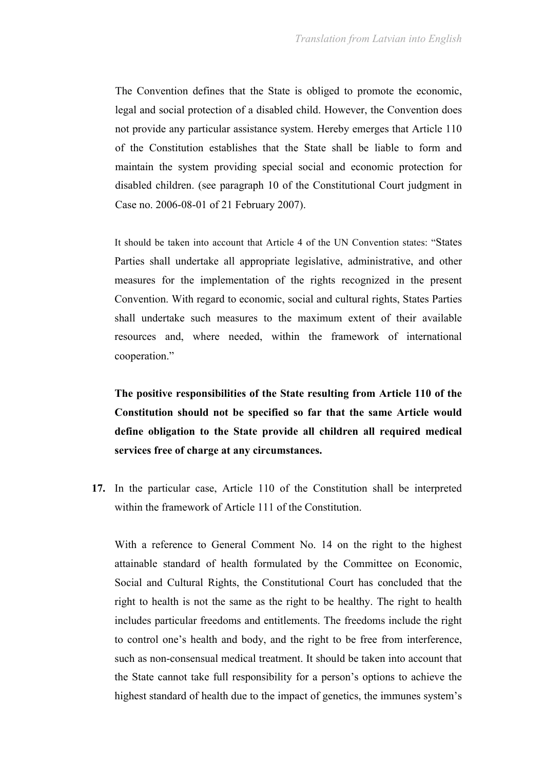The Convention defines that the State is obliged to promote the economic, legal and social protection of a disabled child. However, the Convention does not provide any particular assistance system. Hereby emerges that Article 110 of the Constitution establishes that the State shall be liable to form and maintain the system providing special social and economic protection for disabled children. (see paragraph 10 of the Constitutional Court judgment in Case no. 2006-08-01 of 21 February 2007).

It should be taken into account that Article 4 of the UN Convention states: "States Parties shall undertake all appropriate legislative, administrative, and other measures for the implementation of the rights recognized in the present Convention. With regard to economic, social and cultural rights, States Parties shall undertake such measures to the maximum extent of their available resources and, where needed, within the framework of international cooperation."

**The positive responsibilities of the State resulting from Article 110 of the Constitution should not be specified so far that the same Article would define obligation to the State provide all children all required medical services free of charge at any circumstances.**

**17.** In the particular case, Article 110 of the Constitution shall be interpreted within the framework of Article 111 of the Constitution.

With a reference to General Comment No. 14 on the right to the highest attainable standard of health formulated by the Committee on Economic, Social and Cultural Rights, the Constitutional Court has concluded that the right to health is not the same as the right to be healthy. The right to health includes particular freedoms and entitlements. The freedoms include the right to control one's health and body, and the right to be free from interference, such as non-consensual medical treatment. It should be taken into account that the State cannot take full responsibility for a person's options to achieve the highest standard of health due to the impact of genetics, the immunes system's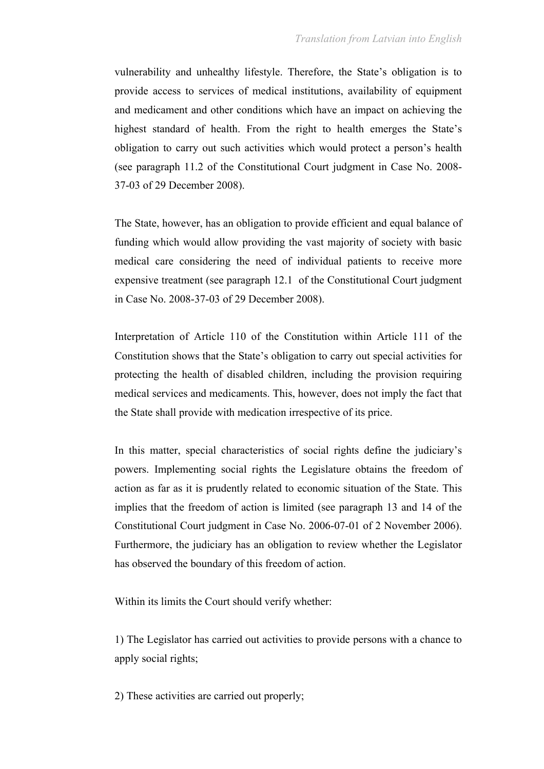vulnerability and unhealthy lifestyle. Therefore, the State's obligation is to provide access to services of medical institutions, availability of equipment and medicament and other conditions which have an impact on achieving the highest standard of health. From the right to health emerges the State's obligation to carry out such activities which would protect a person's health (see paragraph 11.2 of the Constitutional Court judgment in Case No. 2008- 37-03 of 29 December 2008).

The State, however, has an obligation to provide efficient and equal balance of funding which would allow providing the vast majority of society with basic medical care considering the need of individual patients to receive more expensive treatment (see paragraph 12.1 of the Constitutional Court judgment in Case No. 2008-37-03 of 29 December 2008).

Interpretation of Article 110 of the Constitution within Article 111 of the Constitution shows that the State's obligation to carry out special activities for protecting the health of disabled children, including the provision requiring medical services and medicaments. This, however, does not imply the fact that the State shall provide with medication irrespective of its price.

In this matter, special characteristics of social rights define the judiciary's powers. Implementing social rights the Legislature obtains the freedom of action as far as it is prudently related to economic situation of the State. This implies that the freedom of action is limited (see paragraph 13 and 14 of the Constitutional Court judgment in Case No. 2006-07-01 of 2 November 2006). Furthermore, the judiciary has an obligation to review whether the Legislator has observed the boundary of this freedom of action.

Within its limits the Court should verify whether:

1) The Legislator has carried out activities to provide persons with a chance to apply social rights;

2) These activities are carried out properly;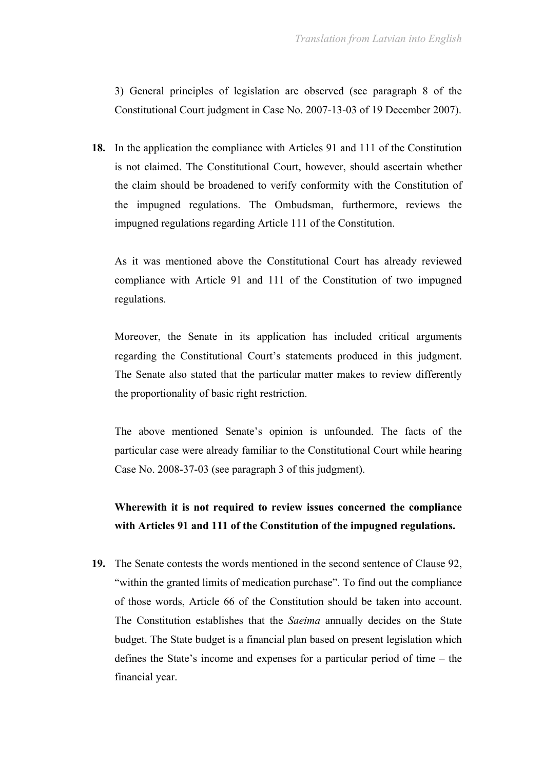3) General principles of legislation are observed (see paragraph 8 of the Constitutional Court judgment in Case No. 2007-13-03 of 19 December 2007).

**18.** In the application the compliance with Articles 91 and 111 of the Constitution is not claimed. The Constitutional Court, however, should ascertain whether the claim should be broadened to verify conformity with the Constitution of the impugned regulations. The Ombudsman, furthermore, reviews the impugned regulations regarding Article 111 of the Constitution.

As it was mentioned above the Constitutional Court has already reviewed compliance with Article 91 and 111 of the Constitution of two impugned regulations.

Moreover, the Senate in its application has included critical arguments regarding the Constitutional Court's statements produced in this judgment. The Senate also stated that the particular matter makes to review differently the proportionality of basic right restriction.

The above mentioned Senate's opinion is unfounded. The facts of the particular case were already familiar to the Constitutional Court while hearing Case No. 2008-37-03 (see paragraph 3 of this judgment).

# **Wherewith it is not required to review issues concerned the compliance with Articles 91 and 111 of the Constitution of the impugned regulations.**

**19.** The Senate contests the words mentioned in the second sentence of Clause 92, "within the granted limits of medication purchase". To find out the compliance of those words, Article 66 of the Constitution should be taken into account. The Constitution establishes that the *Saeima* annually decides on the State budget. The State budget is a financial plan based on present legislation which defines the State's income and expenses for a particular period of time – the financial year.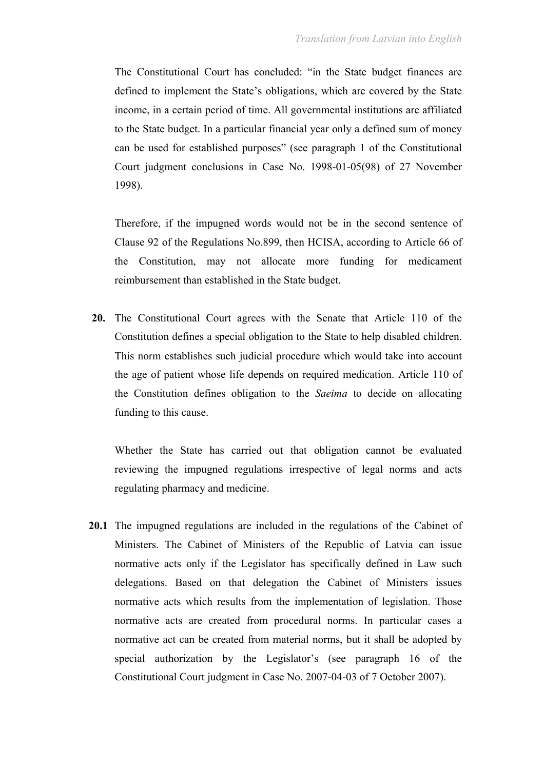The Constitutional Court has concluded: "in the State budget finances are defined to implement the State's obligations, which are covered by the State income, in a certain period of time. All governmental institutions are affiliated to the State budget. In a particular financial year only a defined sum of money can be used for established purposes" (see paragraph 1 of the Constitutional Court judgment conclusions in Case No. 1998-01-05(98) of 27 November 1998).

Therefore, if the impugned words would not be in the second sentence of Clause 92 of the Regulations No.899, then HCISA, according to Article 66 of the Constitution, may not allocate more funding for medicament reimbursement than established in the State budget.

**20.** The Constitutional Court agrees with the Senate that Article 110 of the Constitution defines a special obligation to the State to help disabled children. This norm establishes such judicial procedure which would take into account the age of patient whose life depends on required medication. Article 110 of the Constitution defines obligation to the *Saeima* to decide on allocating funding to this cause.

Whether the State has carried out that obligation cannot be evaluated reviewing the impugned regulations irrespective of legal norms and acts regulating pharmacy and medicine.

**20.1** The impugned regulations are included in the regulations of the Cabinet of Ministers. The Cabinet of Ministers of the Republic of Latvia can issue normative acts only if the Legislator has specifically defined in Law such delegations. Based on that delegation the Cabinet of Ministers issues normative acts which results from the implementation of legislation. Those normative acts are created from procedural norms. In particular cases a normative act can be created from material norms, but it shall be adopted by special authorization by the Legislator's (see paragraph 16 of the Constitutional Court judgment in Case No. 2007-04-03 of 7 October 2007).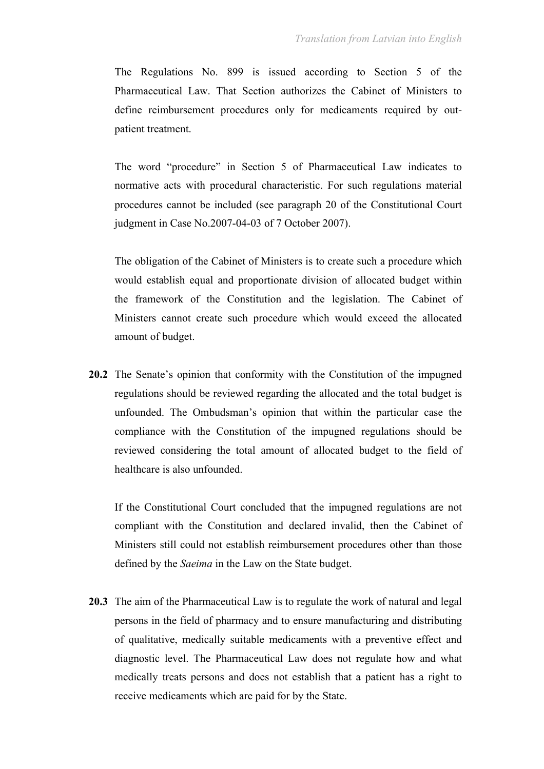The Regulations No. 899 is issued according to Section 5 of the Pharmaceutical Law. That Section authorizes the Cabinet of Ministers to define reimbursement procedures only for medicaments required by outpatient treatment.

The word "procedure" in Section 5 of Pharmaceutical Law indicates to normative acts with procedural characteristic. For such regulations material procedures cannot be included (see paragraph 20 of the Constitutional Court judgment in Case No.2007-04-03 of 7 October 2007).

The obligation of the Cabinet of Ministers is to create such a procedure which would establish equal and proportionate division of allocated budget within the framework of the Constitution and the legislation. The Cabinet of Ministers cannot create such procedure which would exceed the allocated amount of budget.

**20.2** The Senate's opinion that conformity with the Constitution of the impugned regulations should be reviewed regarding the allocated and the total budget is unfounded. The Ombudsman's opinion that within the particular case the compliance with the Constitution of the impugned regulations should be reviewed considering the total amount of allocated budget to the field of healthcare is also unfounded.

If the Constitutional Court concluded that the impugned regulations are not compliant with the Constitution and declared invalid, then the Cabinet of Ministers still could not establish reimbursement procedures other than those defined by the *Saeima* in the Law on the State budget.

**20.3** The aim of the Pharmaceutical Law is to regulate the work of natural and legal persons in the field of pharmacy and to ensure manufacturing and distributing of qualitative, medically suitable medicaments with a preventive effect and diagnostic level. The Pharmaceutical Law does not regulate how and what medically treats persons and does not establish that a patient has a right to receive medicaments which are paid for by the State.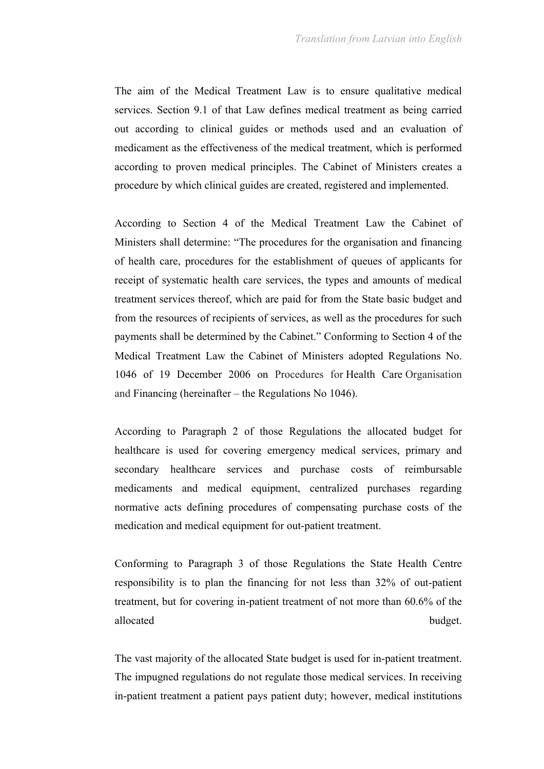The aim of the Medical Treatment Law is to ensure qualitative medical services. Section 9.1 of that Law defines medical treatment as being carried out according to clinical guides or methods used and an evaluation of medicament as the effectiveness of the medical treatment, which is performed according to proven medical principles. The Cabinet of Ministers creates a procedure by which clinical guides are created, registered and implemented.

According to Section 4 of the Medical Treatment Law the Cabinet of Ministers shall determine: "The procedures for the organisation and financing of health care, procedures for the establishment of queues of applicants for receipt of systematic health care services, the types and amounts of medical treatment services thereof, which are paid for from the State basic budget and from the resources of recipients of services, as well as the procedures for such payments shall be determined by the Cabinet." Conforming to Section 4 of the Medical Treatment Law the Cabinet of Ministers adopted Regulations No. 1046 of 19 December 2006 on Procedures for Health Care Organisation and Financing (hereinafter – the Regulations No 1046).

According to Paragraph 2 of those Regulations the allocated budget for healthcare is used for covering emergency medical services, primary and secondary healthcare services and purchase costs of reimbursable medicaments and medical equipment, centralized purchases regarding normative acts defining procedures of compensating purchase costs of the medication and medical equipment for out-patient treatment.

Conforming to Paragraph 3 of those Regulations the State Health Centre responsibility is to plan the financing for not less than 32% of out-patient treatment, but for covering in-patient treatment of not more than 60.6% of the allocated budget.

The vast majority of the allocated State budget is used for in-patient treatment. The impugned regulations do not regulate those medical services. In receiving in-patient treatment a patient pays patient duty; however, medical institutions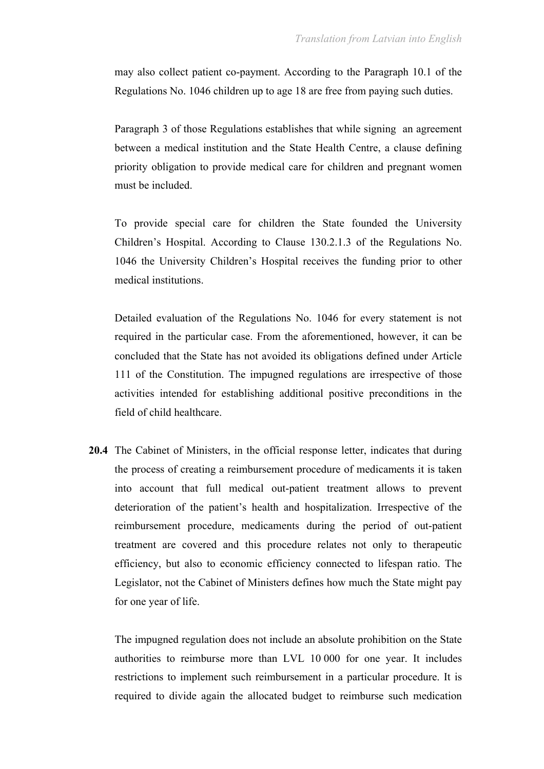may also collect patient co-payment. According to the Paragraph 10.1 of the Regulations No. 1046 children up to age 18 are free from paying such duties.

Paragraph 3 of those Regulations establishes that while signing an agreement between a medical institution and the State Health Centre, a clause defining priority obligation to provide medical care for children and pregnant women must be included.

To provide special care for children the State founded the University Children's Hospital. According to Clause 130.2.1.3 of the Regulations No. 1046 the University Children's Hospital receives the funding prior to other medical institutions.

Detailed evaluation of the Regulations No. 1046 for every statement is not required in the particular case. From the aforementioned, however, it can be concluded that the State has not avoided its obligations defined under Article 111 of the Constitution. The impugned regulations are irrespective of those activities intended for establishing additional positive preconditions in the field of child healthcare.

**20.4** The Cabinet of Ministers, in the official response letter, indicates that during the process of creating a reimbursement procedure of medicaments it is taken into account that full medical out-patient treatment allows to prevent deterioration of the patient's health and hospitalization. Irrespective of the reimbursement procedure, medicaments during the period of out-patient treatment are covered and this procedure relates not only to therapeutic efficiency, but also to economic efficiency connected to lifespan ratio. The Legislator, not the Cabinet of Ministers defines how much the State might pay for one year of life.

The impugned regulation does not include an absolute prohibition on the State authorities to reimburse more than LVL 10 000 for one year. It includes restrictions to implement such reimbursement in a particular procedure. It is required to divide again the allocated budget to reimburse such medication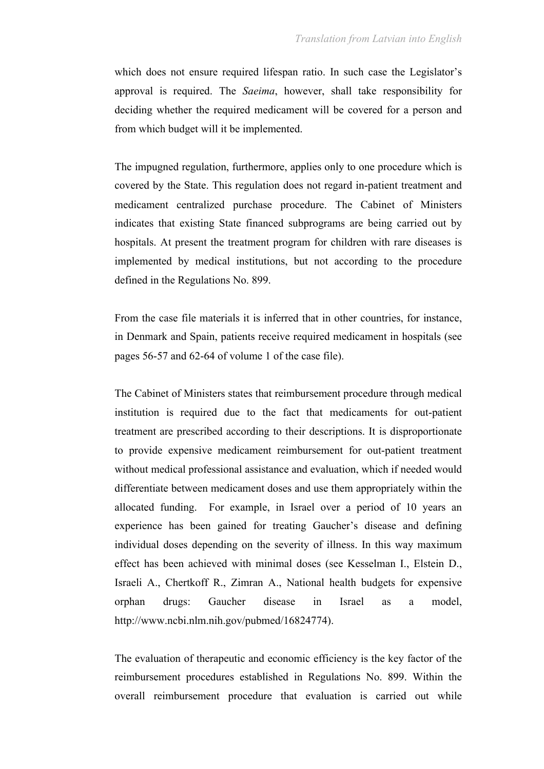which does not ensure required lifespan ratio. In such case the Legislator's approval is required. The *Saeima*, however, shall take responsibility for deciding whether the required medicament will be covered for a person and from which budget will it be implemented.

The impugned regulation, furthermore, applies only to one procedure which is covered by the State. This regulation does not regard in-patient treatment and medicament centralized purchase procedure. The Cabinet of Ministers indicates that existing State financed subprograms are being carried out by hospitals. At present the treatment program for children with rare diseases is implemented by medical institutions, but not according to the procedure defined in the Regulations No. 899.

From the case file materials it is inferred that in other countries, for instance, in Denmark and Spain, patients receive required medicament in hospitals (see pages 56-57 and 62-64 of volume 1 of the case file).

The Cabinet of Ministers states that reimbursement procedure through medical institution is required due to the fact that medicaments for out-patient treatment are prescribed according to their descriptions. It is disproportionate to provide expensive medicament reimbursement for out-patient treatment without medical professional assistance and evaluation, which if needed would differentiate between medicament doses and use them appropriately within the allocated funding. For example, in Israel over a period of 10 years an experience has been gained for treating Gaucher's disease and defining individual doses depending on the severity of illness. In this way maximum effect has been achieved with minimal doses (see Kesselman I., Elstein D., Israeli A., Chertkoff R., Zimran A., National health budgets for expensive orphan drugs: Gaucher disease in Israel as a model, http://www.ncbi.nlm.nih.gov/pubmed/16824774).

The evaluation of therapeutic and economic efficiency is the key factor of the reimbursement procedures established in Regulations No. 899. Within the overall reimbursement procedure that evaluation is carried out while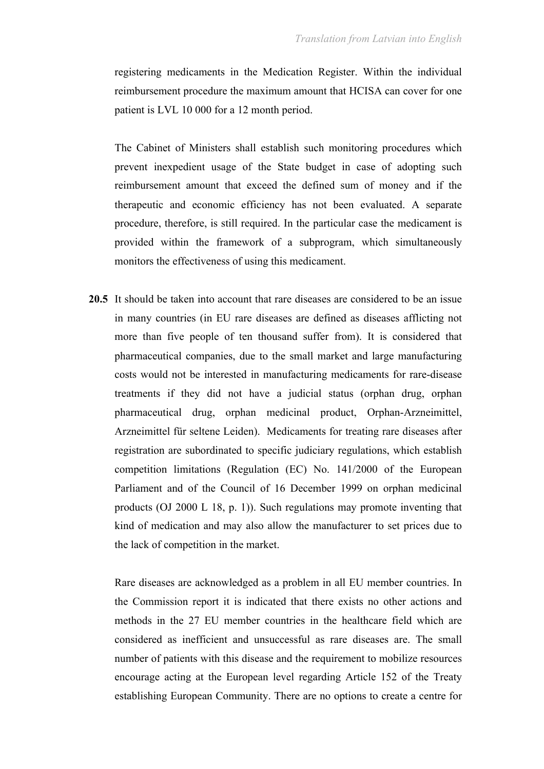registering medicaments in the Medication Register. Within the individual reimbursement procedure the maximum amount that HCISA can cover for one patient is LVL 10 000 for a 12 month period.

The Cabinet of Ministers shall establish such monitoring procedures which prevent inexpedient usage of the State budget in case of adopting such reimbursement amount that exceed the defined sum of money and if the therapeutic and economic efficiency has not been evaluated. A separate procedure, therefore, is still required. In the particular case the medicament is provided within the framework of a subprogram, which simultaneously monitors the effectiveness of using this medicament.

**20.5** It should be taken into account that rare diseases are considered to be an issue in many countries (in EU rare diseases are defined as diseases afflicting not more than five people of ten thousand suffer from). It is considered that pharmaceutical companies, due to the small market and large manufacturing costs would not be interested in manufacturing medicaments for rare-disease treatments if they did not have a judicial status (orphan drug, orphan pharmaceutical drug, orphan medicinal product, Orphan-Arzneimittel, Arzneimittel für seltene Leiden). Medicaments for treating rare diseases after registration are subordinated to specific judiciary regulations, which establish competition limitations (Regulation (EC) No. 141/2000 of the European Parliament and of the Council of 16 December 1999 on orphan medicinal products (OJ 2000 L 18, p. 1)). Such regulations may promote inventing that kind of medication and may also allow the manufacturer to set prices due to the lack of competition in the market.

Rare diseases are acknowledged as a problem in all EU member countries. In the Commission report it is indicated that there exists no other actions and methods in the 27 EU member countries in the healthcare field which are considered as inefficient and unsuccessful as rare diseases are. The small number of patients with this disease and the requirement to mobilize resources encourage acting at the European level regarding Article 152 of the Treaty establishing European Community. There are no options to create a centre for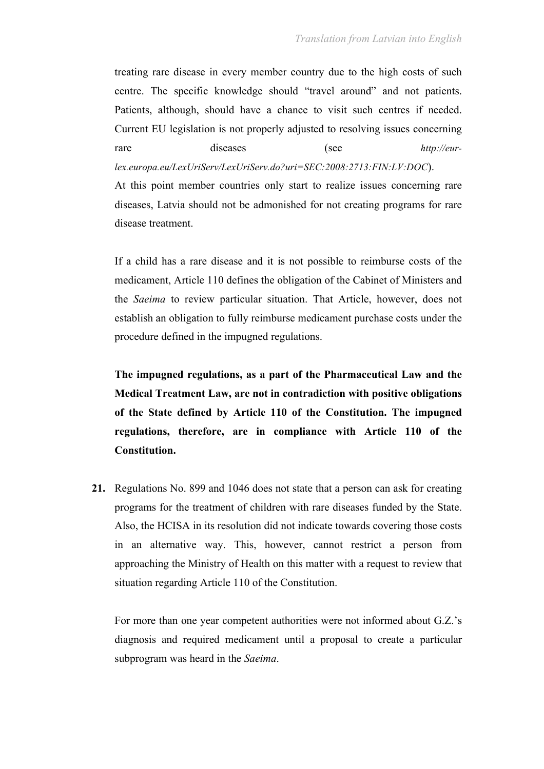treating rare disease in every member country due to the high costs of such centre. The specific knowledge should "travel around" and not patients. Patients, although, should have a chance to visit such centres if needed. Current EU legislation is not properly adjusted to resolving issues concerning rare diseases (see *http://eurlex.europa.eu/LexUriServ/LexUriServ.do?uri=SEC:2008:2713:FIN:LV:DOC*).

At this point member countries only start to realize issues concerning rare diseases, Latvia should not be admonished for not creating programs for rare disease treatment.

If a child has a rare disease and it is not possible to reimburse costs of the medicament, Article 110 defines the obligation of the Cabinet of Ministers and the *Saeima* to review particular situation. That Article, however, does not establish an obligation to fully reimburse medicament purchase costs under the procedure defined in the impugned regulations.

**The impugned regulations, as a part of the Pharmaceutical Law and the Medical Treatment Law, are not in contradiction with positive obligations of the State defined by Article 110 of the Constitution. The impugned regulations, therefore, are in compliance with Article 110 of the Constitution.**

**21.** Regulations No. 899 and 1046 does not state that a person can ask for creating programs for the treatment of children with rare diseases funded by the State. Also, the HCISA in its resolution did not indicate towards covering those costs in an alternative way. This, however, cannot restrict a person from approaching the Ministry of Health on this matter with a request to review that situation regarding Article 110 of the Constitution.

For more than one year competent authorities were not informed about G.Z.'s diagnosis and required medicament until a proposal to create a particular subprogram was heard in the *Saeima*.